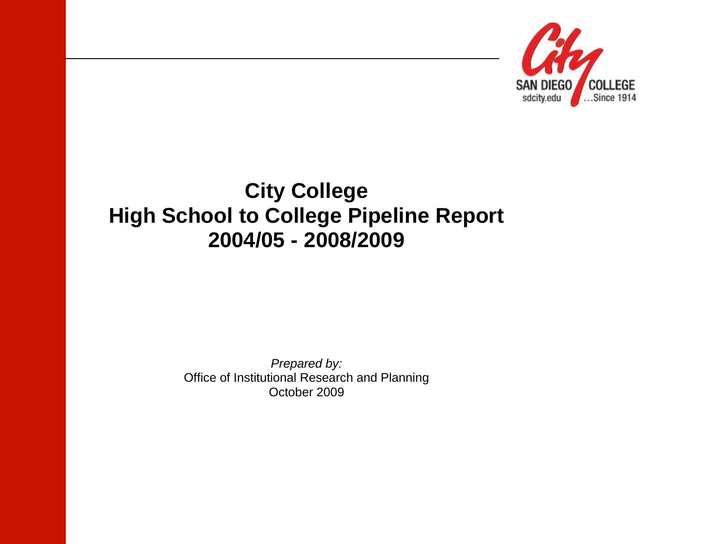

# **City College High School to College Pipeline Report 2004/05 - 2008/2009**

*Prepared by:* Office of Institutional Research and Planning October 2009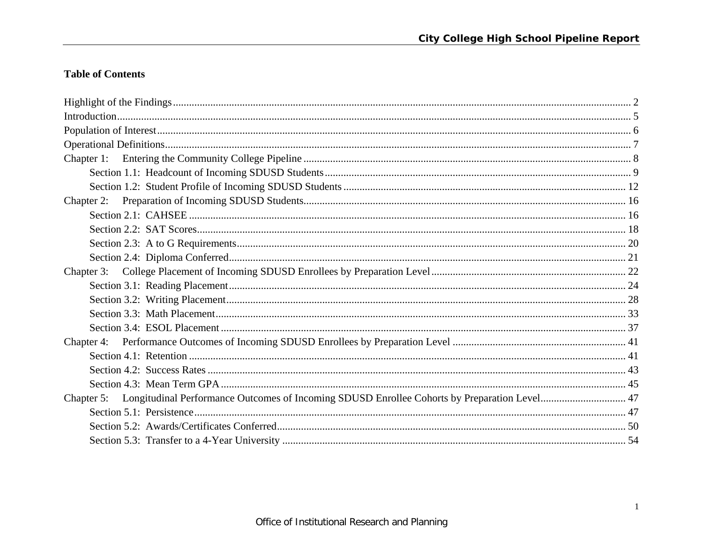# **Table of Contents**

| Chapter 5: Longitudinal Performance Outcomes of Incoming SDUSD Enrollee Cohorts by Preparation Level 47 |  |
|---------------------------------------------------------------------------------------------------------|--|
|                                                                                                         |  |
|                                                                                                         |  |
|                                                                                                         |  |
|                                                                                                         |  |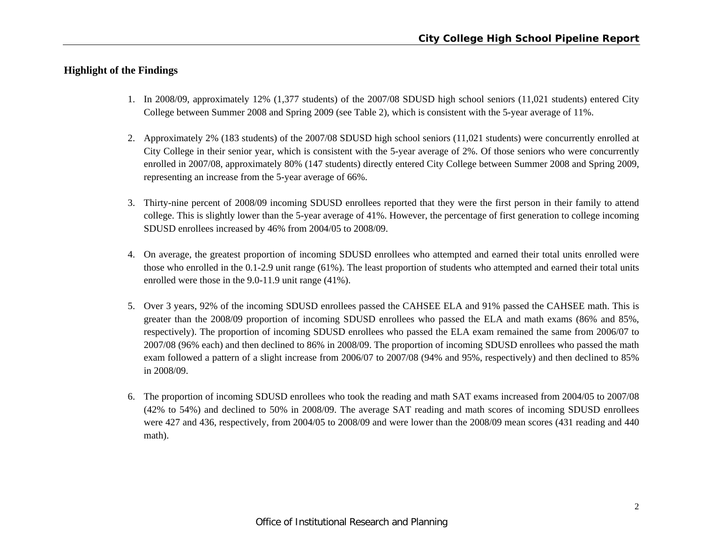# **Highlight of the Findings**

- 1. In 2008/09, approximately 12% (1,377 students) of the 2007/08 SDUSD high school seniors (11,021 students) entered City College between Summer 2008 and Spring 2009 (see Table 2), which is consistent with the 5-year average of 11%.
- 2. Approximately 2% (183 students) of the 2007/08 SDUSD high school seniors (11,021 students) were concurrently enrolled at City College in their senior year, which is consistent with the 5-year average of 2%. Of those seniors who were concurrently enrolled in 2007/08, approximately 80% (147 students) directly entered City College between Summer 2008 and Spring 2009, representing an increase from the 5-year average of 66%.
- 3. Thirty-nine percent of 2008/09 incoming SDUSD enrollees reported that they were the first person in their family to attend college. This is slightly lower than the 5-year average of 41%. However, the percentage of first generation to college incoming SDUSD enrollees increased by 46% from 2004/05 to 2008/09.
- 4. On average, the greatest proportion of incoming SDUSD enrollees who attempted and earned their total units enrolled were those who enrolled in the 0.1-2.9 unit range (61%). The least proportion of students who attempted and earned their total units enrolled were those in the 9.0-11.9 unit range (41%).
- 5. Over 3 years, 92% of the incoming SDUSD enrollees passed the CAHSEE ELA and 91% passed the CAHSEE math. This is greater than the 2008/09 proportion of incoming SDUSD enrollees who passed the ELA and math exams (86% and 85%, respectively). The proportion of incoming SDUSD enrollees who passed the ELA exam remained the same from 2006/07 to 2007/08 (96% each) and then declined to 86% in 2008/09. The proportion of incoming SDUSD enrollees who passed the math exam followed a pattern of a slight increase from 2006/07 to 2007/08 (94% and 95%, respectively) and then declined to 85% in 2008/09.
- 6. The proportion of incoming SDUSD enrollees who took the reading and math SAT exams increased from 2004/05 to 2007/08 (42% to 54%) and declined to 50% in 2008/09. The average SAT reading and math scores of incoming SDUSD enrollees were 427 and 436, respectively, from 2004/05 to 2008/09 and were lower than the 2008/09 mean scores (431 reading and 440 math).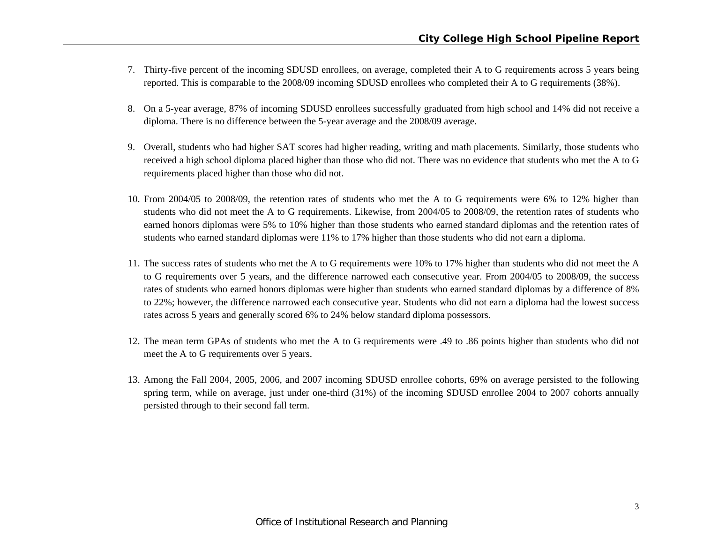- 7. Thirty-five percent of the incoming SDUSD enrollees, on average, completed their A to G requirements across 5 years being reported. This is comparable to the 2008/09 incoming SDUSD enrollees who completed their A to G requirements (38%).
- 8. On a 5-year average, 87% of incoming SDUSD enrollees successfully graduated from high school and 14% did not receive a diploma. There is no difference between the 5-year average and the 2008/09 average.
- 9. Overall, students who had higher SAT scores had higher reading, writing and math placements. Similarly, those students who received a high school diploma placed higher than those who did not. There was no evidence that students who met the A to G requirements placed higher than those who did not.
- 10. From 2004/05 to 2008/09, the retention rates of students who met the A to G requirements were 6% to 12% higher than students who did not meet the A to G requirements. Likewise, from 2004/05 to 2008/09, the retention rates of students who earned honors diplomas were 5% to 10% higher than those students who earned standard diplomas and the retention rates of students who earned standard diplomas were 11% to 17% higher than those students who did not earn a diploma.
- 11. The success rates of students who met the A to G requirements were 10% to 17% higher than students who did not meet the A to G requirements over 5 years, and the difference narrowed each consecutive year. From 2004/05 to 2008/09, the success rates of students who earned honors diplomas were higher than students who earned standard diplomas by a difference of 8% to 22%; however, the difference narrowed each consecutive year. Students who did not earn a diploma had the lowest success rates across 5 years and generally scored 6% to 24% below standard diploma possessors.
- 12. The mean term GPAs of students who met the A to G requirements were .49 to .86 points higher than students who did not meet the A to G requirements over 5 years.
- 13. Among the Fall 2004, 2005, 2006, and 2007 incoming SDUSD enrollee cohorts, 69% on average persisted to the following spring term, while on average, just under one-third (31%) of the incoming SDUSD enrollee 2004 to 2007 cohorts annually persisted through to their second fall term.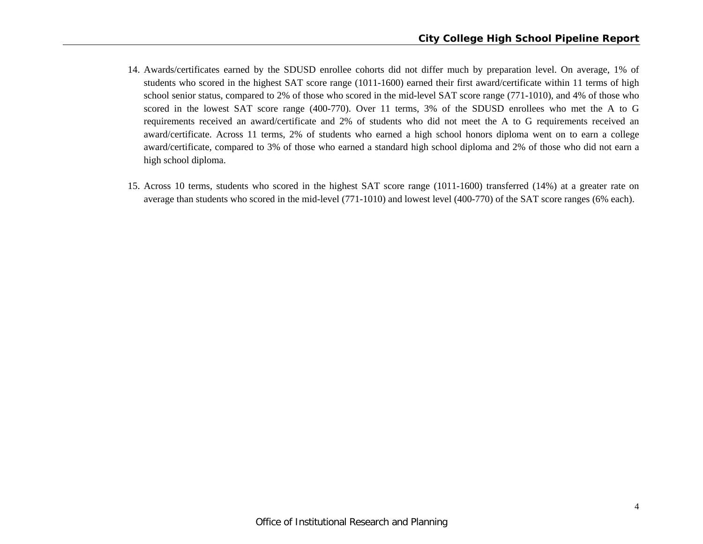- 14. Awards/certificates earned by the SDUSD enrollee cohorts did not differ much by preparation level. On average, 1% of students who scored in the highest SAT score range (1011-1600) earned their first award/certificate within 11 terms of high school senior status, compared to 2% of those who scored in the mid-level SAT score range (771-1010), and 4% of those who scored in the lowest SAT score range (400-770). Over 11 terms, 3% of the SDUSD enrollees who met the A to G requirements received an award/certificate and 2% of students who did not meet the A to G requirements received an award/certificate. Across 11 terms, 2% of students who earned a high school honors diploma went on to earn a college award/certificate, compared to 3% of those who earned a standard high school diploma and 2% of those who did not earn a high school diploma.
- 15. Across 10 terms, students who scored in the highest SAT score range (1011-1600) transferred (14%) at a greater rate on average than students who scored in the mid-level (771-1010) and lowest level (400-770) of the SAT score ranges (6% each).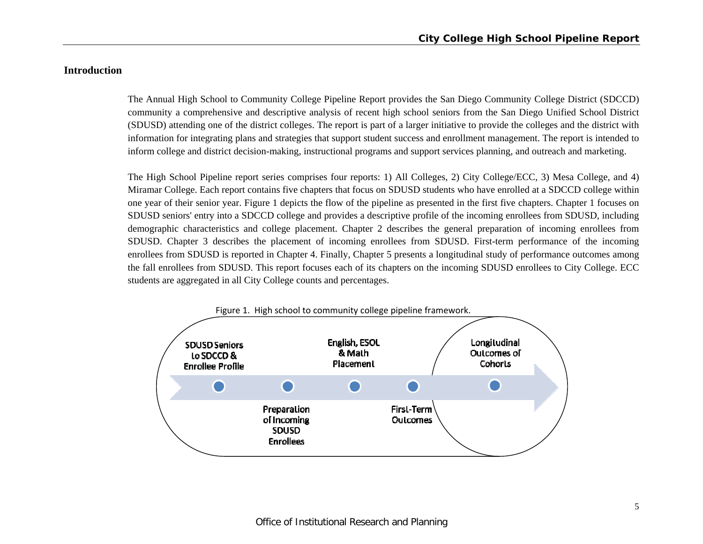# **Introduction**

The Annual High School to Community College Pipeline Report provides the San Diego Community College District (SDCCD) community a comprehensive and descriptive analysis of recent high school seniors from the San Diego Unified School District (SDUSD) attending one of the district colleges. The report is part of a larger initiative to provide the colleges and the district with information for integrating plans and strategies that support student success and enrollment management. The report is intended to inform college and district decision-making, instructional programs and support services planning, and outreach and marketing.

The High School Pipeline report series comprises four reports: 1) All Colleges, 2) City College/ECC, 3) Mesa College, and 4) Miramar College. Each report contains five chapters that focus on SDUSD students who have enrolled at a SDCCD college within one year of their senior year. Figure 1 depicts the flow of the pipeline as presented in the first five chapters. Chapter 1 focuses on SDUSD seniors' entry into a SDCCD college and provides a descriptive profile of the incoming enrollees from SDUSD, including demographic characteristics and college placement. Chapter 2 describes the general preparation of incoming enrollees from SDUSD. Chapter 3 describes the placement of incoming enrollees from SDUSD. First-term performance of the incoming enrollees from SDUSD is reported in Chapter 4. Finally, Chapter 5 presents a longitudinal study of performance outcomes among the fall enrollees from SDUSD. This report focuses each of its chapters on the incoming SDUSD enrollees to City College. ECC students are aggregated in all City College counts and percentages.

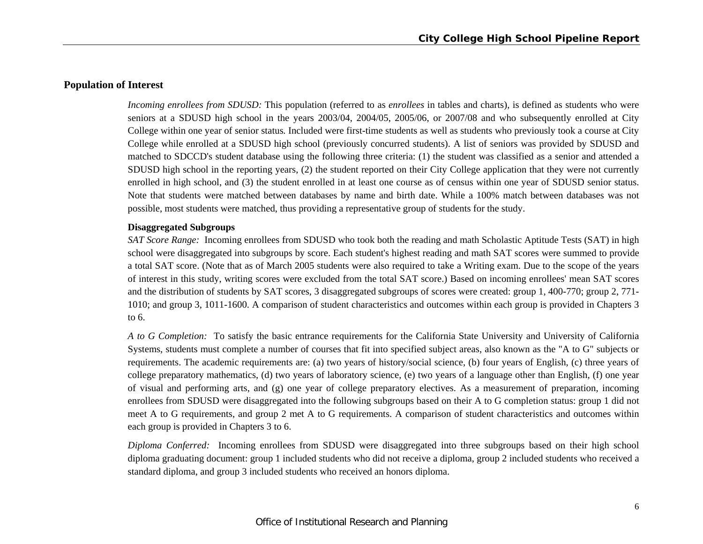## **Population of Interest**

*Incoming enrollees from SDUSD:* This population (referred to as *enrollees* in tables and charts), is defined as students who were seniors at a SDUSD high school in the years 2003/04, 2004/05, 2005/06, or 2007/08 and who subsequently enrolled at City College within one year of senior status. Included were first-time students as well as students who previously took a course at City College while enrolled at a SDUSD high school (previously concurred students). A list of seniors was provided by SDUSD and matched to SDCCD's student database using the following three criteria: (1) the student was classified as a senior and attended a SDUSD high school in the reporting years, (2) the student reported on their City College application that they were not currently enrolled in high school, and (3) the student enrolled in at least one course as of census within one year of SDUSD senior status. Note that students were matched between databases by name and birth date. While a 100% match between databases was not possible, most students were matched, thus providing a representative group of students for the study.

#### **Disaggregated Subgroups**

*SAT Score Range:* Incoming enrollees from SDUSD who took both the reading and math Scholastic Aptitude Tests (SAT) in high school were disaggregated into subgroups by score. Each student's highest reading and math SAT scores were summed to provide a total SAT score. (Note that as of March 2005 students were also required to take a Writing exam. Due to the scope of the years of interest in this study, writing scores were excluded from the total SAT score.) Based on incoming enrollees' mean SAT scores and the distribution of students by SAT scores, 3 disaggregated subgroups of scores were created: group 1, 400-770; group 2, 771- 1010; and group 3, 1011-1600. A comparison of student characteristics and outcomes within each group is provided in Chapters 3 to 6.

*A to G Completion:* To satisfy the basic entrance requirements for the California State University and University of California Systems, students must complete a number of courses that fit into specified subject areas, also known as the "A to G" subjects or requirements. The academic requirements are: (a) two years of history/social science, (b) four years of English, (c) three years of college preparatory mathematics, (d) two years of laboratory science, (e) two years of a language other than English, (f) one year of visual and performing arts, and (g) one year of college preparatory electives. As a measurement of preparation, incoming enrollees from SDUSD were disaggregated into the following subgroups based on their A to G completion status: group 1 did not meet A to G requirements, and group 2 met A to G requirements. A comparison of student characteristics and outcomes within each group is provided in Chapters 3 to 6.

*Diploma Conferred:* Incoming enrollees from SDUSD were disaggregated into three subgroups based on their high school diploma graduating document: group 1 included students who did not receive a diploma, group 2 included students who received a standard diploma, and group 3 included students who received an honors diploma.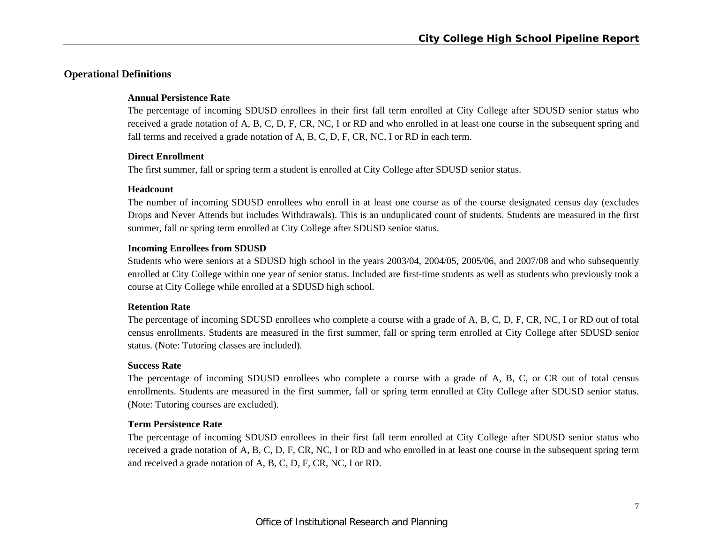# **Operational Definitions**

#### **Annual Persistence Rate**

The percentage of incoming SDUSD enrollees in their first fall term enrolled at City College after SDUSD senior status who received a grade notation of A, B, C, D, F, CR, NC, I or RD and who enrolled in at least one course in the subsequent spring and fall terms and received a grade notation of A, B, C, D, F, CR, NC, I or RD in each term.

## **Direct Enrollment**

The first summer, fall or spring term a student is enrolled at City College after SDUSD senior status.

#### **Headcount**

The number of incoming SDUSD enrollees who enroll in at least one course as of the course designated census day (excludes Drops and Never Attends but includes Withdrawals). This is an unduplicated count of students. Students are measured in the first summer, fall or spring term enrolled at City College after SDUSD senior status.

#### **Incoming Enrollees from SDUSD**

Students who were seniors at a SDUSD high school in the years 2003/04, 2004/05, 2005/06, and 2007/08 and who subsequently enrolled at City College within one year of senior status. Included are first-time students as well as students who previously took a course at City College while enrolled at a SDUSD high school.

#### **Retention Rate**

The percentage of incoming SDUSD enrollees who complete a course with a grade of A, B, C, D, F, CR, NC, I or RD out of total census enrollments. Students are measured in the first summer, fall or spring term enrolled at City College after SDUSD senior status. (Note: Tutoring classes are included).

#### **Success Rate**

The percentage of incoming SDUSD enrollees who complete a course with a grade of A, B, C, or CR out of total census enrollments. Students are measured in the first summer, fall or spring term enrolled at City College after SDUSD senior status. (Note: Tutoring courses are excluded).

## **Term Persistence Rate**

The percentage of incoming SDUSD enrollees in their first fall term enrolled at City College after SDUSD senior status who received a grade notation of A, B, C, D, F, CR, NC, I or RD and who enrolled in at least one course in the subsequent spring term and received a grade notation of A, B, C, D, F, CR, NC, I or RD.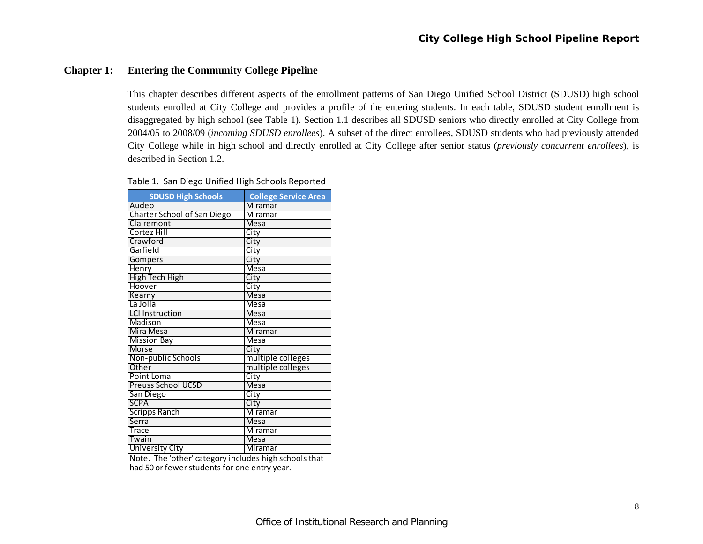# **Chapter 1: Entering the Community College Pipeline**

This chapter describes different aspects of the enrollment patterns of San Diego Unified School District (SDUSD) high school students enrolled at City College and provides a profile of the entering students. In each table, SDUSD student enrollment is disaggregated by high school (see Table 1). Section 1.1 describes all SDUSD seniors who directly enrolled at City College from 2004/05 to 2008/09 (*incoming SDUSD enrollees*). A subset of the direct enrollees, SDUSD students who had previously attended City College while in high school and directly enrolled at City College after senior status (*previously concurrent enrollees*), is described in Section 1.2.

|  | Table 1. San Diego Unified High Schools Reported |
|--|--------------------------------------------------|
|  |                                                  |

| <b>SDUSD High Schools</b>          | <b>College Service Area</b> |
|------------------------------------|-----------------------------|
| Audeo                              | <b>Miramar</b>              |
| <b>Charter School of San Diego</b> | Miramar                     |
| Clairemont                         | Mesa                        |
| Cortez Hill                        | City                        |
| Crawford                           | City                        |
| Garfield                           | City                        |
| <b>Gompers</b>                     | City                        |
| <b>Henry</b>                       | Mesa                        |
| High Tech High                     | City                        |
| Hoover                             | City                        |
| Kearny                             | <b>Mesa</b>                 |
| La Jolla                           | <b>Mesa</b>                 |
| <b>LCI</b> Instruction             | <b>Mesa</b>                 |
| Madison                            | Mesa                        |
| Mira Mesa                          | <b>Miramar</b>              |
| <b>Mission Bay</b>                 | Mesa                        |
| <b>Morse</b>                       | City                        |
| Non-public Schools                 | multiple colleges           |
| Other                              | multiple colleges           |
| Point Loma                         | City                        |
| <b>Preuss School UCSD</b>          | Mesa                        |
| San Diego                          | City                        |
| <b>SCPA</b>                        | City                        |
| <b>Scripps Ranch</b>               | Miramar                     |
| Serra                              | <b>Mesa</b>                 |
| Trace                              | Miramar                     |
| Twain                              | <b>Mesa</b>                 |
| <b>University City</b>             | Miramar                     |

had 50 or fewer students for one entry year. Note. The 'other' category includes high schools that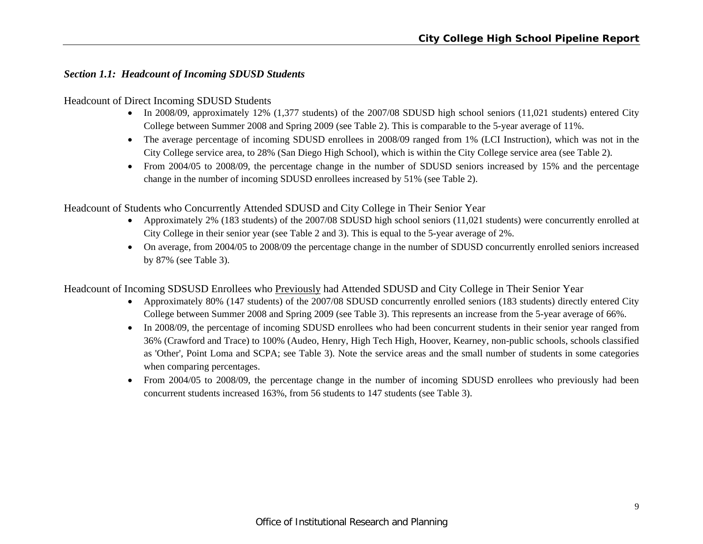# *Section 1.1: Headcount of Incoming SDUSD Students*

Headcount of Direct Incoming SDUSD Students

- In 2008/09, approximately 12% (1,377 students) of the 2007/08 SDUSD high school seniors (11,021 students) entered City College between Summer 2008 and Spring 2009 (see Table 2). This is comparable to the 5-year average of 11%.
- The average percentage of incoming SDUSD enrollees in 2008/09 ranged from 1% (LCI Instruction), which was not in the City College service area, to 28% (San Diego High School), which is within the City College service area (see Table 2).
- From 2004/05 to 2008/09, the percentage change in the number of SDUSD seniors increased by 15% and the percentage change in the number of incoming SDUSD enrollees increased by 51% (see Table 2).

Headcount of Students who Concurrently Attended SDUSD and City College in Their Senior Year

- Approximately 2% (183 students) of the 2007/08 SDUSD high school seniors (11,021 students) were concurrently enrolled at City College in their senior year (see Table 2 and 3). This is equal to the 5-year average of 2%.
- On average, from 2004/05 to 2008/09 the percentage change in the number of SDUSD concurrently enrolled seniors increased by 87% (see Table 3).

Headcount of Incoming SDSUSD Enrollees who Previously had Attended SDUSD and City College in Their Senior Year

- Approximately 80% (147 students) of the 2007/08 SDUSD concurrently enrolled seniors (183 students) directly entered City College between Summer 2008 and Spring 2009 (see Table 3). This represents an increase from the 5-year average of 66%.
- In 2008/09, the percentage of incoming SDUSD enrollees who had been concurrent students in their senior year ranged from 36% (Crawford and Trace) to 100% (Audeo, Henry, High Tech High, Hoover, Kearney, non-public schools, schools classified as 'Other', Point Loma and SCPA; see Table 3). Note the service areas and the small number of students in some categories when comparing percentages.
- From 2004/05 to 2008/09, the percentage change in the number of incoming SDUSD enrollees who previously had been concurrent students increased 163%, from 56 students to 147 students (see Table 3).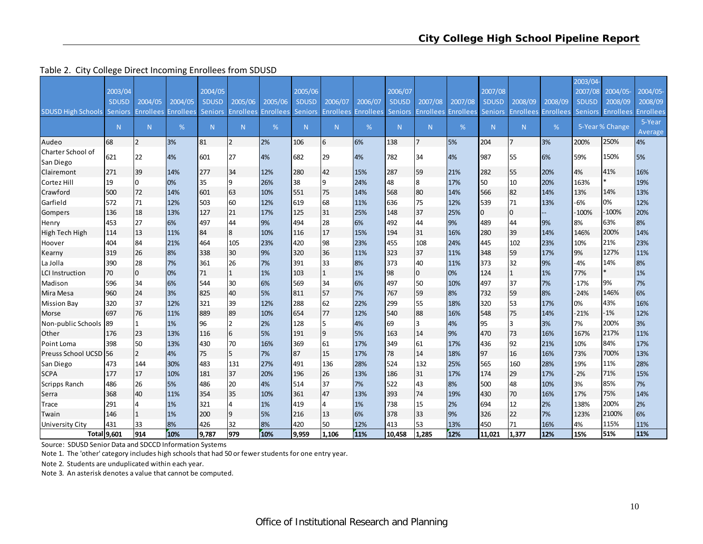#### Table 2. City College Direct Incoming Enrollees from SDUSD

|                                   |              |                  |                  |                |                  |                  |                |                  |                  |                |                |                            |                |                  |           | 2003/04-     |                   |                  |
|-----------------------------------|--------------|------------------|------------------|----------------|------------------|------------------|----------------|------------------|------------------|----------------|----------------|----------------------------|----------------|------------------|-----------|--------------|-------------------|------------------|
|                                   | 2003/04      |                  |                  | 2004/05        |                  |                  | 2005/06        |                  |                  | 2006/07        |                |                            | 2007/08        |                  |           | 2007/08      | 2004/05           | 2004/05-         |
|                                   | <b>SDUSD</b> | 2004/05          | 2004/05          | <b>SDUSD</b>   | 2005/06          | 2005/06          | <b>SDUSD</b>   | 2006/07          | 2006/07          | <b>SDUSD</b>   | 2007/08        | 2007/08                    | <b>SDUSD</b>   | 2008/09          | 2008/09   | <b>SDUSD</b> | 2008/09           | 2008/09          |
| <b>SDUSD High Schools Seniors</b> |              | <b>Enrollees</b> | <b>Enrollees</b> | <b>Seniors</b> | <b>Enrollees</b> | <b>Enrollees</b> | <b>Seniors</b> | <b>Enrollees</b> | <b>Enrollees</b> | <b>Seniors</b> |                | <b>Enrollees Enrollees</b> | <b>Seniors</b> | <b>Enrollees</b> | Enrollees |              | Seniors Enrollees | <b>Enrollees</b> |
|                                   | N.           | N <sub>1</sub>   | %                | N.             | N.               | %                | N              | N                | %                | N.             | N              | %                          | N <sub>1</sub> | N                | %         |              | 5-Year % Change   | 5-Year           |
|                                   |              |                  |                  |                |                  |                  |                |                  |                  |                |                |                            |                |                  |           |              |                   | Average          |
| Audeo                             | 68           | $\overline{2}$   | 3%               | 81             | $\overline{2}$   | 2%               | 106            | 6                | 6%               | 138            | $\overline{7}$ | 5%                         | 204            | $\overline{7}$   | 3%        | 200%         | 250%              | 4%               |
| Charter School of                 | 621          | 22               | 4%               | 601            | 27               | 4%               | 682            | 29               | 4%               | 782            | 34             | 4%                         | 987            | 55               | 6%        | 59%          | 150%              | 5%               |
| San Diego                         |              |                  |                  |                |                  |                  |                |                  |                  |                |                |                            |                |                  |           |              |                   |                  |
| Clairemont                        | 271          | 39               | 14%              | 277            | 34               | 12%              | 280            | 42               | 15%              | 287            | 59             | 21%                        | 282            | 55               | 20%       | 4%           | 41%               | 16%              |
| Cortez Hill                       | 19           | $\Omega$         | 0%               | 35             | 9                | 26%              | 38             | 9                | 24%              | 48             | 8              | 17%                        | 50             | 10               | 20%       | 163%         | $\ast$            | 19%              |
| Crawford                          | 500          | 72               | 14%              | 601            | 63               | 10%              | 551            | 75               | 14%              | 568            | 80             | 14%                        | 566            | 82               | 14%       | 13%          | 14%               | 13%              |
| Garfield                          | 572          | 71               | 12%              | 503            | 60               | 12%              | 619            | 68               | 11%              | 636            | 75             | 12%                        | 539            | 71               | 13%       | $-6%$        | 0%                | 12%              |
| Gompers                           | 136          | 18               | 13%              | 127            | 21               | 17%              | 125            | 31               | 25%              | 148            | 37             | 25%                        | $\Omega$       | $\overline{0}$   |           | 100%         | $-100%$           | 20%              |
| Henry                             | 453          | 27               | 6%               | 497            | 44               | 9%               | 494            | 28               | 6%               | 492            | 44             | 9%                         | 489            | 44               | 9%        | 8%           | 63%               | 8%               |
| High Tech High                    | 114          | 13               | 11%              | 84             | 8                | 10%              | 116            | 17               | 15%              | 194            | 31             | 16%                        | 280            | 39               | 14%       | 146%         | 200%              | 14%              |
| Hoover                            | 404          | 84               | 21%              | 464            | 105              | 23%              | 420            | 98               | 23%              | 455            | 108            | 24%                        | 445            | 102              | 23%       | 10%          | 21%               | 23%              |
| Kearny                            | 319          | 26               | 8%               | 338            | 30               | 9%               | 320            | 36               | 11%              | 323            | 37             | 11%                        | 348            | 59               | 17%       | 9%           | 127%              | 11%              |
| La Jolla                          | 390          | 28               | 7%               | 361            | 26               | 7%               | 391            | 33               | 8%               | 373            | 40             | 11%                        | 373            | 32               | 9%        | $-4%$        | 14%               | 8%               |
| <b>LCI Instruction</b>            | 70           | $\mathbf{0}$     | 0%               | 71             |                  | 1%               | 103            | $\mathbf{1}$     | 1%               | 98             | $\overline{0}$ | 0%                         | 124            | $\mathbf{1}$     | 1%        | 77%          | $\ast$            | 1%               |
| Madison                           | 596          | 34               | 6%               | 544            | 30               | 6%               | 569            | 34               | 6%               | 497            | 50             | 10%                        | 497            | 37               | 7%        | $-17%$       | 9%                | 7%               |
| Mira Mesa                         | 960          | 24               | 3%               | 825            | 40               | 5%               | 811            | 57               | 7%               | 767            | 59             | 8%                         | 732            | 59               | 8%        | $-24%$       | 146%              | 6%               |
| <b>Mission Bay</b>                | 320          | 37               | 12%              | 321            | 39               | 12%              | 288            | 62               | 22%              | 299            | 55             | 18%                        | 320            | 53               | 17%       | 0%           | 43%               | 16%              |
| Morse                             | 697          | 76               | 11%              | 889            | 89               | 10%              | 654            | 77               | 12%              | 540            | 88             | 16%                        | 548            | 75               | 14%       | $-21%$       | $-1%$             | 12%              |
| Non-public Schools 89             |              |                  | 1%               | 96             | $\overline{2}$   | 2%               | 128            | 5                | 4%               | 69             | 3              | 4%                         | 95             | 3                | 3%        | 7%           | 200%              | 3%               |
| Other                             | 176          | 23               | 13%              | 116            | 6                | 5%               | 191            | 9                | 5%               | 163            | 14             | 9%                         | 470            | 73               | 16%       | 167%         | 217%              | 11%              |
| Point Loma                        | 398          | 50               | 13%              | 430            | 70               | 16%              | 369            | 61               | 17%              | 349            | 61             | 17%                        | 436            | 92               | 21%       | 10%          | 84%               | 17%              |
| Preuss School UCSD 56             |              | $\overline{2}$   | 4%               | 75             | 5                | 7%               | 87             | 15               | 17%              | 78             | 14             | 18%                        | 97             | 16               | 16%       | 73%          | 700%              | 13%              |
| San Diego                         | 473          | 144              | 30%              | 483            | 131              | 27%              | 491            | 136              | 28%              | 524            | 132            | 25%                        | 565            | 160              | 28%       | 19%          | 11%               | 28%              |
| <b>SCPA</b>                       | 177          | 17               | 10%              | 181            | 37               | 20%              | 196            | 26               | 13%              | 186            | 31             | 17%                        | 174            | 29               | 17%       | $-2%$        | 71%               | 15%              |
| <b>Scripps Ranch</b>              | 486          | 26               | 5%               | 486            | 20               | 4%               | 514            | 37               | 7%               | 522            | 43             | 8%                         | 500            | 48               | 10%       | 3%           | 85%               | 7%               |
| Serra                             | 368          | 40               | 11%              | 354            | 35               | 10%              | 361            | 47               | 13%              | 393            | 74             | 19%                        | 430            | 70               | 16%       | 17%          | 75%               | 14%              |
| Trace                             | 291          |                  | 1%               | 321            |                  | 1%               | 419            | $\overline{4}$   | 1%               | 738            | 15             | 2%                         | 694            | 12               | 2%        | 138%         | 200%              | 2%               |
| Twain                             | 146          |                  | 1%               | 200            | 9                | 5%               | 216            | 13               | 6%               | 378            | 33             | 9%                         | 326            | 22               | 7%        | 123%         | 2100%             | 6%               |
| University City                   | 431          | 33               | 8%               | 426            | 32               | 8%               | 420            | 50               | 12%              | 413            | 53             | 13%                        | 450            | 71               | 16%       | 4%           | 115%              | 11%              |
|                                   | Total 9.601  | 914              | 10%              | 9.787          | 979              | 10%              | 9.959          | 1.106            | 11%              | 10.458         | 1.285          | 12%                        | 11,021         | 1.377            | 12%       | 15%          | 51%               | 11%              |

Source: SDUSD Senior Data and SDCCD Information Systems

Note 1. The 'other' category includes high schools that had 50 or fewerstudents for one entry year.

Note 2. Students are unduplicated within each year.

Note 3. An asterisk denotes <sup>a</sup> value that cannot be computed.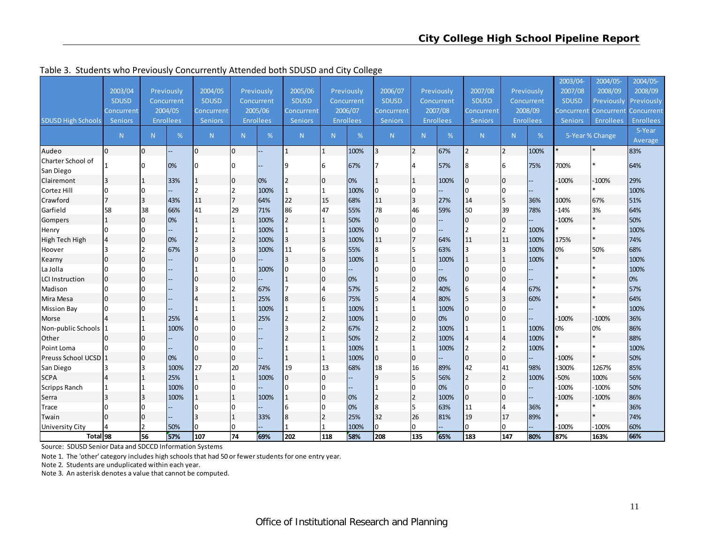|                           |                |                |            |                |                |                  |                |                |                  |                |                |                  |                 |                |                  | 2003/04        | 2004/05-        | 2004/05-         |
|---------------------------|----------------|----------------|------------|----------------|----------------|------------------|----------------|----------------|------------------|----------------|----------------|------------------|-----------------|----------------|------------------|----------------|-----------------|------------------|
|                           | 2003/04        |                | Previously | 2004/05        |                | Previously       | 2005/06        |                | Previously       | 2006/07        |                | Previously       | 2007/08         |                | Previously       | 2007/08        | 2008/09         | 2008/09          |
|                           | <b>SDUSD</b>   |                | Concurrent | <b>SDUSD</b>   |                | Concurrent       | <b>SDUSD</b>   |                | Concurrent       | <b>SDUSD</b>   |                | Concurrent       | <b>SDUSD</b>    |                | Concurrent       | <b>SDUSD</b>   | Previously      | Previously       |
|                           | Concurrent     |                | 2004/05    | Concurrent     |                | 2005/06          | Concurrent     |                | 2006/07          | Concurrent     |                | 2007/08          | Concurrent      |                | 2008/09          | Concurrent     | Concurrent      | Concurrent       |
| <b>SDUSD High Schools</b> | <b>Seniors</b> |                | Enrollees  | <b>Seniors</b> |                | <b>Enrollees</b> | <b>Seniors</b> |                | <b>Enrollees</b> | <b>Seniors</b> |                | <b>Enrollees</b> | <b>Seniors</b>  |                | <b>Enrollees</b> | <b>Seniors</b> | Enrollees       | <b>Enrollees</b> |
|                           | N              | N              | %          | N <sub>1</sub> | N              | %                | N              | N.             | %                | N              | N.             | %                | N.              | N              | %                |                | 5-Year % Change | 5-Year           |
|                           |                |                |            |                |                |                  |                |                |                  |                |                |                  |                 |                |                  |                |                 | Average          |
| Audeo                     | $\overline{0}$ | $\overline{0}$ |            | $\Omega$       | $\Omega$       |                  | 1              | $\mathbf{1}$   | 100%             |                | I2             | 67%              | $\overline{2}$  | $\overline{2}$ | 100%             |                |                 | 83%              |
| Charter School of         |                | $\Omega$       | 0%         | n              |                |                  | ٩              | 16             | 67%              |                |                | 57%              | 8               | 6              | 75%              | 700%           |                 | 64%              |
| San Diego                 |                |                |            |                |                |                  |                |                |                  |                |                |                  |                 |                |                  |                |                 |                  |
| Clairemont                | 3              |                | 33%        | 1              | $\overline{0}$ | 0%               | 2              | 10             | 0%               |                | $\mathbf{1}$   | 100%             | 0               | 0              |                  | $-100%$        | $-100%$         | 29%              |
| Cortez Hill               | $\mathbf 0$    | $\overline{0}$ |            | $\overline{2}$ | 2              | 100%             |                | $\mathbf{1}$   | 100%             | l0             | IО             |                  | $\overline{0}$  | 0              |                  |                | $\ast$          | 100%             |
| Crawford                  | 17             | 3              | 43%        | 11             | $\overline{7}$ | 64%              | 22             | 15             | 68%              | 11             | 3              | 27%              | 14              | 5              | 36%              | 100%           | 67%             | 51%              |
| Garfield                  | 58             | 38             | 66%        | 41             | 29             | 71%              | 86             | 47             | 55%              | 78             | 46             | 59%              | 50              | 39             | 78%              | $-14%$         | 3%              | 64%              |
| Gompers                   | $\mathbf{1}$   | $\mathbf 0$    | 0%         | $\overline{1}$ | $\mathbf{1}$   | 100%             | 2              | 1              | 50%              | l <sub>0</sub> | 10             |                  | $\overline{0}$  | $\mathbf{0}$   |                  | $-100%$        | $\ast$          | 50%              |
| Henry                     | $\Omega$       | $\Omega$       |            |                |                | 100%             |                | 1              | 100%             | $\overline{0}$ | I٥             |                  |                 | $\overline{2}$ | 100%             |                | $\ast$          | 100%             |
| High Tech High            | $\overline{4}$ | $\mathbf 0$    | 0%         | $\overline{2}$ | $\overline{2}$ | 100%             | 3              | 3              | 100%             | 11             | l7             | 64%              | 11              | 11             | 100%             | 175%           |                 | 74%              |
| Hoover                    | 3              | $\mathfrak{p}$ | 67%        | 3              | $\mathbf{3}$   | 100%             | 11             | l6             | 55%              | 8              | 15             | 63%              | 3               | 3              | 100%             | 0%             | 50%             | 68%              |
| Kearny                    | $\overline{0}$ | $\overline{0}$ |            | n              | $\Omega$       |                  | 3              | Iз             | 100%             |                | I1             | 100%             |                 | 1              | 100%             |                |                 | 100%             |
| La Jolla                  | 0              | $\Omega$       |            |                |                | 100%             | 0              | I٥             |                  |                | n              |                  | <sup>0</sup>    | 0              |                  |                |                 | 100%             |
| <b>LCI Instruction</b>    | $\overline{0}$ | $\Omega$       |            | n              |                |                  |                | l0             | 0%               |                | I0             | 0%               | 0               | 0              |                  |                |                 | 0%               |
| Madison                   | $\Omega$       | $\Omega$       |            |                |                | 67%              | 7              | $\overline{4}$ | 57%              |                | 12             | 40%              | $6\phantom{1}6$ | 4              | 67%              |                |                 | 57%              |
| Mira Mesa                 | 0              | $\Omega$       |            |                |                | 25%              | 8              | 6              | 75%              |                | $\Delta$       | 80%              | 5               | 3              | 60%              |                |                 | 64%              |
| <b>Mission Bay</b>        | $\Omega$       | n              |            |                |                | 100%             |                |                | 100%             |                |                | 100%             | $\overline{0}$  | ŋ              |                  |                |                 | 100%             |
| Morse                     | $\overline{4}$ |                | 25%        | $\overline{4}$ |                | 25%              | $\overline{2}$ | l2             | 100%             |                | $\Omega$       | 0%               | $\overline{0}$  | 0              |                  | $-100%$        | $-100%$         | 36%              |
| Non-public Schools        |                |                | 100%       | n              |                |                  | 3              | $\overline{2}$ | 67%              |                | l2             | 100%             |                 |                | 100%             | 0%             | 0%              | 86%              |
| Other                     | $\overline{0}$ | $\Omega$       |            | ın             | $\Omega$       |                  |                | $\overline{1}$ | 50%              |                | l2             | 100%             | $\overline{4}$  | Δ              | 100%             |                |                 | 88%              |
| Point Loma                |                | $\Omega$       |            |                |                |                  |                |                | 100%             |                | Ι1             | 100%             |                 | 2              | 100%             |                |                 | 100%             |
| Preuss School UCSD 1      |                | $\Omega$       | 0%         | $\Omega$       | $\Omega$       |                  |                | $\mathbf{1}$   | 100%             | 0              | $\overline{0}$ |                  | 0               | 0              |                  | $-100%$        |                 | 50%              |
| San Diego                 | 13             | R              | 100%       | 27             | 20             | 74%              | 19             | 13             | 68%              | 18             | 16             | 89%              | 42              | 41             | 98%              | 1300%          | 1267%           | 85%              |
| <b>SCPA</b>               | $\overline{4}$ |                | 25%        | $\overline{1}$ |                | 100%             | 0              | lo             |                  |                | 5              | 56%              | $\overline{2}$  | $\overline{2}$ | 100%             | -50%           | 100%            | 56%              |
| <b>Scripps Ranch</b>      | 1              |                | 100%       | n              |                |                  | 0              | $\Omega$       |                  |                | l0             | 0%               | $\overline{0}$  | 0              |                  | $-100%$        | $-100%$         | 50%              |
| Serra                     | 3              | 3              | 100%       |                |                | 100%             | 1              | Ιo             | 0%               |                | $\overline{2}$ | 100%             | $\overline{0}$  | 0              |                  | $-100%$        | $-100%$         | 86%              |
| Trace                     | <sup>0</sup>   | 0              |            |                |                |                  | 6              | lo             | 0%               | 8              | I5             | 63%              | 11              | 4              | 36%              |                |                 | 36%              |
| Twain                     | $\overline{0}$ | 0              |            |                |                | 33%              | 8              | l2             | 25%              | 32             | 26             | 81%              | 19              | 17             | 89%              |                |                 | 74%              |
| University City           | $\overline{4}$ | 2              | 50%        | $\Omega$       | O              |                  |                | 1              | 100%             | $\Omega$       | Iо             |                  | $\overline{0}$  | 0              |                  | $-100%$        | $-100%$         | 60%              |
| Total <sub>98</sub>       |                | 56             | 57%        | 107            | 74             | 69%              | 202            | 118            | 58%              | 208            | 135            | 65%              | 183             | 147            | 80%              | 87%            | 163%            | 66%              |

Table 3. Students who Previously Concurrently Attended both SDUSD and City College

Source: SDUSD Senior Data and SDCCD Information Systems

Note 1. The 'other' category includes high schools that had 50 or fewerstudents for one entry year.

Note 2. Students are unduplicated within each year.

Note 3. An asterisk denotes <sup>a</sup> value that cannot be computed.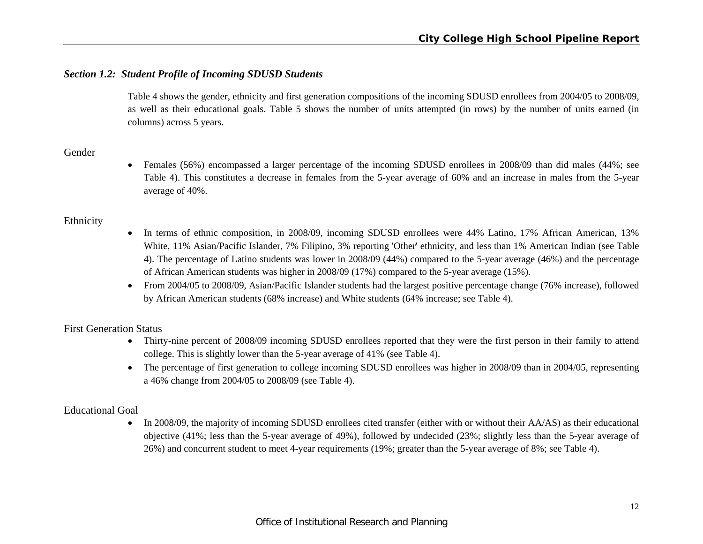# *Section 1.2: Student Profile of Incoming SDUSD Students*

Table 4 shows the gender, ethnicity and first generation compositions of the incoming SDUSD enrollees from 2004/05 to 2008/09, as well as their educational goals. Table 5 shows the number of units attempted (in rows) by the number of units earned (in columns) across 5 years.

# Gender

 Females (56%) encompassed a larger percentage of the incoming SDUSD enrollees in 2008/09 than did males (44%; see Table 4). This constitutes a decrease in females from the 5-year average of 60% and an increase in males from the 5-year average of 40%.

# Ethnicity

- $\bullet$  In terms of ethnic composition, in 2008/09, incoming SDUSD enrollees were 44% Latino, 17% African American, 13% White, 11% Asian/Pacific Islander, 7% Filipino, 3% reporting 'Other' ethnicity, and less than 1% American Indian (see Table 4). The percentage of Latino students was lower in 2008/09 (44%) compared to the 5-year average (46%) and the percentage of African American students was higher in 2008/09 (17%) compared to the 5-year average (15%).
- From 2004/05 to 2008/09, Asian/Pacific Islander students had the largest positive percentage change (76% increase), followed by African American students (68% increase) and White students (64% increase; see Table 4).

# First Generation Status

- Thirty-nine percent of 2008/09 incoming SDUSD enrollees reported that they were the first person in their family to attend college. This is slightly lower than the 5-year average of 41% (see Table 4).
- The percentage of first generation to college incoming SDUSD enrollees was higher in 2008/09 than in 2004/05, representing a 46% change from 2004/05 to 2008/09 (see Table 4).

# Educational Goal

• In 2008/09, the majority of incoming SDUSD enrollees cited transfer (either with or without their AA/AS) as their educational objective (41%; less than the 5-year average of 49%), followed by undecided (23%; slightly less than the 5-year average of 26%) and concurrent student to meet 4-year requirements (19%; greater than the 5-year average of 8%; see Table 4).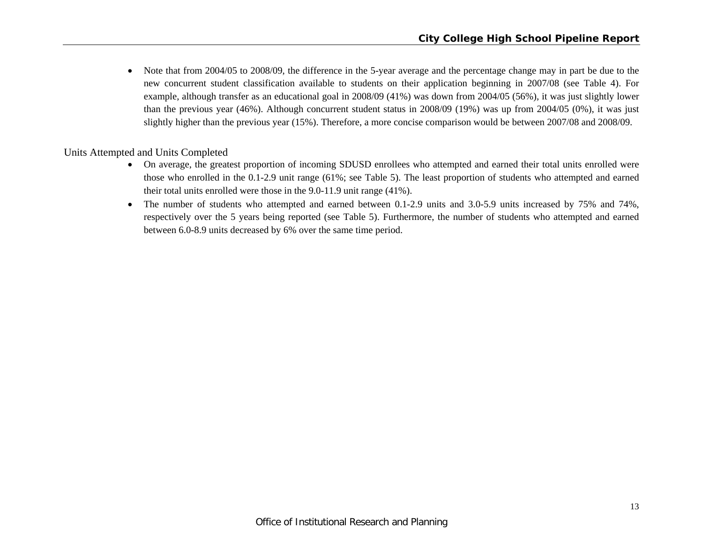$\bullet$  Note that from 2004/05 to 2008/09, the difference in the 5-year average and the percentage change may in part be due to the new concurrent student classification available to students on their application beginning in 2007/08 (see Table 4). For example, although transfer as an educational goal in 2008/09 (41%) was down from 2004/05 (56%), it was just slightly lower than the previous year (46%). Although concurrent student status in 2008/09 (19%) was up from 2004/05 (0%), it was just slightly higher than the previous year (15%). Therefore, a more concise comparison would be between 2007/08 and 2008/09.

Units Attempted and Units Completed

- On average, the greatest proportion of incoming SDUSD enrollees who attempted and earned their total units enrolled were those who enrolled in the 0.1-2.9 unit range (61%; see Table 5). The least proportion of students who attempted and earned their total units enrolled were those in the 9.0-11.9 unit range (41%).
- $\bullet$  The number of students who attempted and earned between 0.1-2.9 units and 3.0-5.9 units increased by 75% and 74%, respectively over the 5 years being reported (see Table 5). Furthermore, the number of students who attempted and earned between 6.0-8.9 units decreased by 6% over the same time period.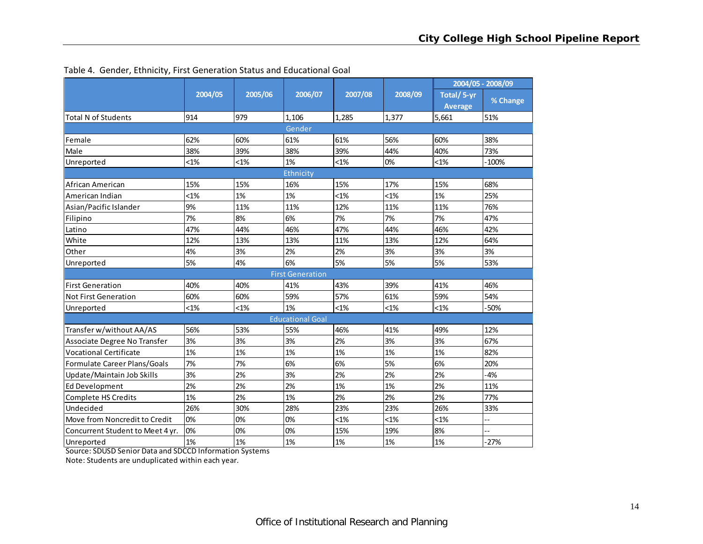|                                  |         |         |                         |         |         |                | 2004/05 - 2008/09 |
|----------------------------------|---------|---------|-------------------------|---------|---------|----------------|-------------------|
|                                  | 2004/05 | 2005/06 | 2006/07                 | 2007/08 | 2008/09 | Total/5-yr     | % Change          |
|                                  |         |         |                         |         |         | <b>Average</b> |                   |
| <b>Total N of Students</b>       | 914     | 979     | 1,106                   | 1,285   | 1,377   | 5,661          | 51%               |
|                                  |         |         | Gender                  |         |         |                |                   |
| Female                           | 62%     | 60%     | 61%                     | 61%     | 56%     | 60%            | 38%               |
| Male                             | 38%     | 39%     | 38%                     | 39%     | 44%     | 40%            | 73%               |
| Unreported                       | $< 1\%$ | $< 1\%$ | 1%                      | $< 1\%$ | 0%      | $< 1\%$        | $-100%$           |
|                                  |         |         | Ethnicity               |         |         |                |                   |
| African American                 | 15%     | 15%     | 16%                     | 15%     | 17%     | 15%            | 68%               |
| American Indian                  | $< 1\%$ | 1%      | 1%                      | $< 1\%$ | $< 1\%$ | 1%             | 25%               |
| Asian/Pacific Islander           | 9%      | 11%     | 11%                     | 12%     | 11%     | 11%            | 76%               |
| Filipino                         | 7%      | 8%      | 6%                      | 7%      | 7%      | 7%             | 47%               |
| Latino                           | 47%     | 44%     | 46%                     | 47%     | 44%     | 46%            | 42%               |
| White                            | 12%     | 13%     | 13%                     | 11%     | 13%     | 12%            | 64%               |
| Other                            | 4%      | 3%      | 2%                      | 2%      | 3%      | 3%             | 3%                |
| Unreported                       | 5%      | 4%      | 6%                      | 5%      | 5%      | 5%             | 53%               |
|                                  |         |         | <b>First Generation</b> |         |         |                |                   |
| <b>First Generation</b>          | 40%     | 40%     | 41%                     | 43%     | 39%     | 41%            | 46%               |
| <b>Not First Generation</b>      | 60%     | 60%     | 59%                     | 57%     | 61%     | 59%            | 54%               |
| Unreported                       | $< 1\%$ | $< 1\%$ | 1%                      | $< 1\%$ | $< 1\%$ | $< 1\%$        | -50%              |
|                                  |         |         | <b>Educational Goal</b> |         |         |                |                   |
| Transfer w/without AA/AS         | 56%     | 53%     | 55%                     | 46%     | 41%     | 49%            | 12%               |
| Associate Degree No Transfer     | 3%      | 3%      | 3%                      | 2%      | 3%      | 3%             | 67%               |
| <b>Vocational Certificate</b>    | 1%      | 1%      | 1%                      | 1%      | 1%      | 1%             | 82%               |
| Formulate Career Plans/Goals     | 7%      | 7%      | 6%                      | 6%      | 5%      | 6%             | 20%               |
| Update/Maintain Job Skills       | 3%      | 2%      | 3%                      | 2%      | 2%      | 2%             | $-4%$             |
| <b>Ed Development</b>            | 2%      | 2%      | 2%                      | 1%      | 1%      | 2%             | 11%               |
| <b>Complete HS Credits</b>       | 1%      | 2%      | 1%                      | 2%      | 2%      | 2%             | 77%               |
| Undecided                        | 26%     | 30%     | 28%                     | 23%     | 23%     | 26%            | 33%               |
| Move from Noncredit to Credit    | 0%      | 0%      | 0%                      | $< 1\%$ | $< 1\%$ | $< 1\%$        | --                |
| Concurrent Student to Meet 4 yr. | 0%      | 0%      | 0%                      | 15%     | 19%     | 8%             |                   |
| Unreported                       | 1%      | 1%      | 1%                      | 1%      | 1%      | 1%             | $-27%$            |

Table 4. Gender, Ethnicity, First Generation Status and Educational Goal

Source: SDUSD Senior Data and SDCCD Information Systems

Note: Students are unduplicated within each year.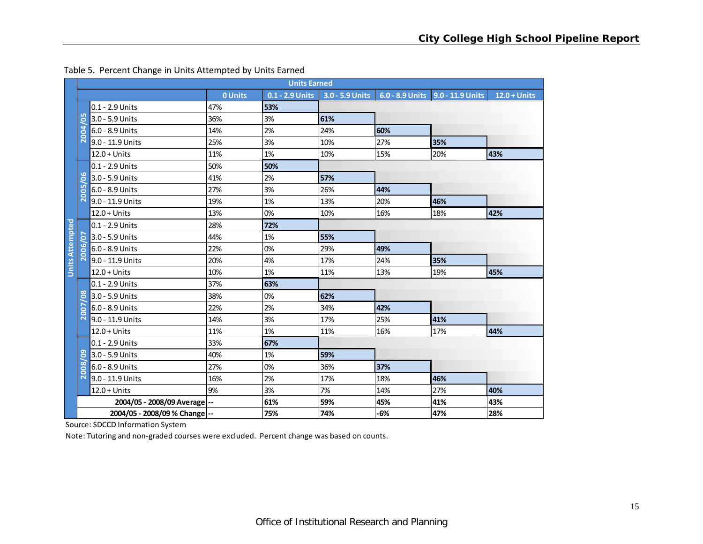|                        |                        |                               |         | <b>Units Earned</b> |                 |     |                                    |                |
|------------------------|------------------------|-------------------------------|---------|---------------------|-----------------|-----|------------------------------------|----------------|
|                        |                        |                               | 0 Units | 0.1 - 2.9 Units     | 3.0 - 5.9 Units |     | 6.0 - 8.9 Units   9.0 - 11.9 Units | $12.0 + Units$ |
|                        |                        | 0.1 - 2.9 Units               | 47%     | 53%                 |                 |     |                                    |                |
|                        | ம<br>$\bullet$         | 3.0 - 5.9 Units               | 36%     | 3%                  | 61%             |     |                                    |                |
|                        | 004                    | 6.0 - 8.9 Units               | 14%     | 2%                  | 24%             | 60% |                                    |                |
|                        | $\bar{\mathsf{N}}$     | 9.0 - 11.9 Units              | 25%     | 3%                  | 10%             | 27% | 35%                                |                |
|                        |                        | $12.0 +$ Units                | 11%     | 1%                  | 10%             | 15% | 20%                                | 43%            |
|                        |                        | 0.1 - 2.9 Units               | 50%     | 50%                 |                 |     |                                    |                |
|                        | <b>LO</b><br>$\bullet$ | 3.0 - 5.9 Units               | 41%     | 2%                  | 57%             |     |                                    |                |
|                        | ம<br>ē                 | 6.0 - 8.9 Units               | 27%     | 3%                  | 26%             | 44% |                                    |                |
|                        | $\bar{\mathsf{N}}$     | 9.0 - 11.9 Units              | 19%     | 1%                  | 13%             | 20% | 46%                                |                |
|                        |                        | $12.0 + Units$                | 13%     | 0%                  | 10%             | 16% | 18%                                | 42%            |
| <b>Units Attempted</b> |                        | 0.1 - 2.9 Units               | 28%     | 72%                 |                 |     |                                    |                |
|                        | <u>50</u>              | 3.0 - 5.9 Units               | 44%     | 1%                  | 55%             |     |                                    |                |
|                        | 2006/                  | 6.0 - 8.9 Units               | 22%     | 0%                  | 29%             | 49% |                                    |                |
|                        |                        | 9.0 - 11.9 Units              | 20%     | 4%                  | 17%             | 24% | 35%                                |                |
|                        |                        | $12.0 + Units$                | 10%     | 1%                  | 11%             | 13% | 19%                                | 45%            |
|                        |                        | 0.1 - 2.9 Units               | 37%     | 63%                 |                 |     |                                    |                |
|                        | $\rm{8}$               | 3.0 - 5.9 Units               | 38%     | 0%                  | 62%             |     |                                    |                |
|                        | <b>2007</b>            | 6.0 - 8.9 Units               | 22%     | 2%                  | 34%             | 42% |                                    |                |
|                        |                        | 9.0 - 11.9 Units              | 14%     | 3%                  | 17%             | 25% | 41%                                |                |
|                        |                        | $12.0 + Units$                | 11%     | 1%                  | 11%             | 16% | 17%                                | 44%            |
|                        |                        | 0.1 - 2.9 Units               | 33%     | 67%                 |                 |     |                                    |                |
|                        | ဥ                      | 3.0 - 5.9 Units               | 40%     | 1%                  | 59%             |     |                                    |                |
|                        | 2008                   | 6.0 - 8.9 Units               | 27%     | 0%                  | 36%             | 37% |                                    |                |
|                        |                        | 9.0 - 11.9 Units              | 16%     | 2%                  | 17%             | 18% | 46%                                |                |
|                        |                        | $12.0 + Units$                | 9%      | 3%                  | 7%              | 14% | 27%                                | 40%            |
|                        |                        | 2004/05 - 2008/09 Average --  |         | 61%                 | 59%             | 45% | 41%                                | 43%            |
|                        |                        | 2004/05 - 2008/09 % Change -- |         | 75%                 | 74%             | -6% | 47%                                | 28%            |

#### Table 5. Percent Change in Units Attempted by Units Earned

Source: SDCCD Information System

Note: Tutoring and non‐graded courses were excluded. Percent change was based on counts.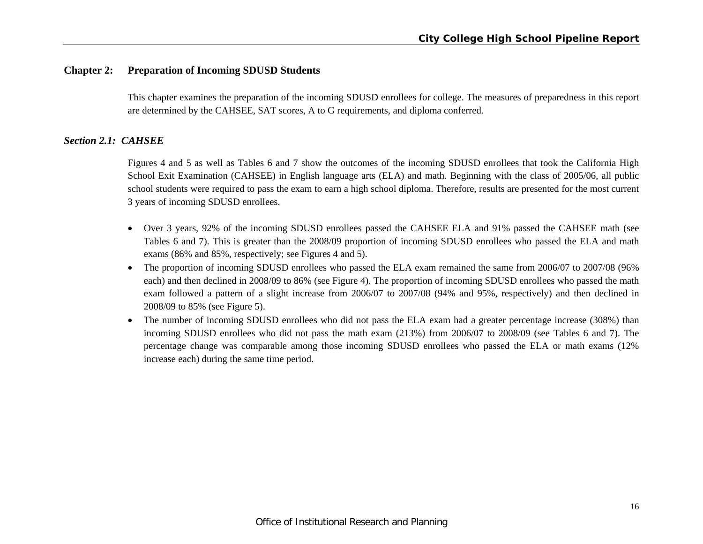# **Chapter 2: Preparation of Incoming SDUSD Students**

This chapter examines the preparation of the incoming SDUSD enrollees for college. The measures of preparedness in this report are determined by the CAHSEE, SAT scores, A to G requirements, and diploma conferred.

# *Section 2.1: CAHSEE*

Figures 4 and 5 as well as Tables 6 and 7 show the outcomes of the incoming SDUSD enrollees that took the California High School Exit Examination (CAHSEE) in English language arts (ELA) and math. Beginning with the class of 2005/06, all public school students were required to pass the exam to earn a high school diploma. Therefore, results are presented for the most current 3 years of incoming SDUSD enrollees.

- Over 3 years, 92% of the incoming SDUSD enrollees passed the CAHSEE ELA and 91% passed the CAHSEE math (see Tables 6 and 7). This is greater than the 2008/09 proportion of incoming SDUSD enrollees who passed the ELA and math exams (86% and 85%, respectively; see Figures 4 and 5).
- The proportion of incoming SDUSD enrollees who passed the ELA exam remained the same from 2006/07 to 2007/08 (96% each) and then declined in 2008/09 to 86% (see Figure 4). The proportion of incoming SDUSD enrollees who passed the math exam followed a pattern of a slight increase from 2006/07 to 2007/08 (94% and 95%, respectively) and then declined in 2008/09 to 85% (see Figure 5).
- $\bullet$  The number of incoming SDUSD enrollees who did not pass the ELA exam had a greater percentage increase (308%) than incoming SDUSD enrollees who did not pass the math exam (213%) from 2006/07 to 2008/09 (see Tables 6 and 7). The percentage change was comparable among those incoming SDUSD enrollees who passed the ELA or math exams (12% increase each) during the same time period.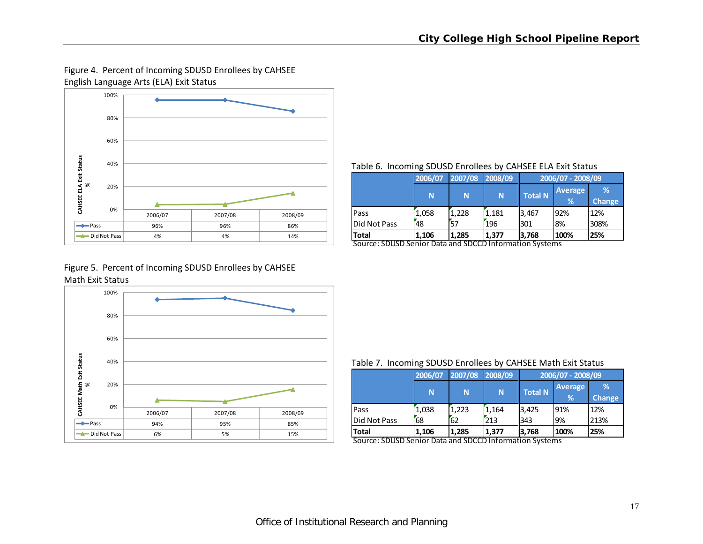# Figure 4. Percent of Incoming SDUSD Enrollees by CAHSEE English Language Arts (ELA) Exit Status



#### Table 6. Incoming SDUSD Enrollees by CAHSEE ELA Exit Status

|              | 2006/07 | 2007/08 | 2008/09 |                |                | 2006/07 - 2008/09 |  |  |
|--------------|---------|---------|---------|----------------|----------------|-------------------|--|--|
|              | N       | N       | N       | <b>Total N</b> | <b>Average</b> | %                 |  |  |
|              |         |         |         |                | %              | <b>Change</b>     |  |  |
| Pass         | 1.058   | 1,228   | 1.181   | 3,467          | 92%            | 12%               |  |  |
| Did Not Pass | 48      | 57      | 196     | 1301           | 8%             | 308%              |  |  |
| <b>Total</b> | 1,106   | 1,285   | 1,377   | 13,768         | 100%           | 25%               |  |  |

Source: SDUSD Senior Data and SDCCD Information Systems

# Figure 5. Percent of Incoming SDUSD Enrollees by CAHSEE Math Exit Status



#### Table 7. Incoming SDUSD Enrollees by CAHSEE Math Exit Status

|              | 2006/07                                                  | 2007/08 | 2008/09 | 2006/07 - 2008/09 |                |               |  |  |
|--------------|----------------------------------------------------------|---------|---------|-------------------|----------------|---------------|--|--|
|              |                                                          |         |         |                   | <b>Average</b> | %             |  |  |
|              | N                                                        | N       | 'N.     | <b>Total N</b>    | %              | <b>Change</b> |  |  |
| <b>Pass</b>  | 1.038                                                    | 1.223   | 1.164   | 3,425             | 91%            | 12%           |  |  |
| Did Not Pass | 68                                                       | 62      | 213     | 1343              | 9%             | 213%          |  |  |
| Total        | 1.106<br>CDUCD Cantar Data and CDCCD lefamentian Customs | 1.285   | 1,377   | 13,768            | 100%           | 25%           |  |  |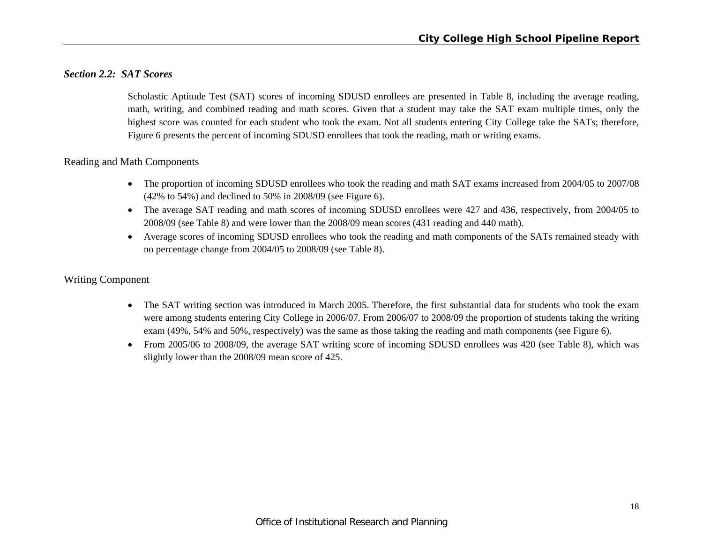# *Section 2.2: SAT Scores*

Scholastic Aptitude Test (SAT) scores of incoming SDUSD enrollees are presented in Table 8, including the average reading, math, writing, and combined reading and math scores. Given that a student may take the SAT exam multiple times, only the highest score was counted for each student who took the exam. Not all students entering City College take the SATs; therefore, Figure 6 presents the percent of incoming SDUSD enrollees that took the reading, math or writing exams.

# Reading and Math Components

- The proportion of incoming SDUSD enrollees who took the reading and math SAT exams increased from 2004/05 to 2007/08 (42% to 54%) and declined to 50% in 2008/09 (see Figure 6).
- The average SAT reading and math scores of incoming SDUSD enrollees were 427 and 436, respectively, from 2004/05 to 2008/09 (see Table 8) and were lower than the 2008/09 mean scores (431 reading and 440 math).
- Average scores of incoming SDUSD enrollees who took the reading and math components of the SATs remained steady with no percentage change from 2004/05 to 2008/09 (see Table 8).

# Writing Component

- $\bullet$  The SAT writing section was introduced in March 2005. Therefore, the first substantial data for students who took the exam were among students entering City College in 2006/07. From 2006/07 to 2008/09 the proportion of students taking the writing exam (49%, 54% and 50%, respectively) was the same as those taking the reading and math components (see Figure 6).
- $\bullet$  From 2005/06 to 2008/09, the average SAT writing score of incoming SDUSD enrollees was 420 (see Table 8), which was slightly lower than the 2008/09 mean score of 425.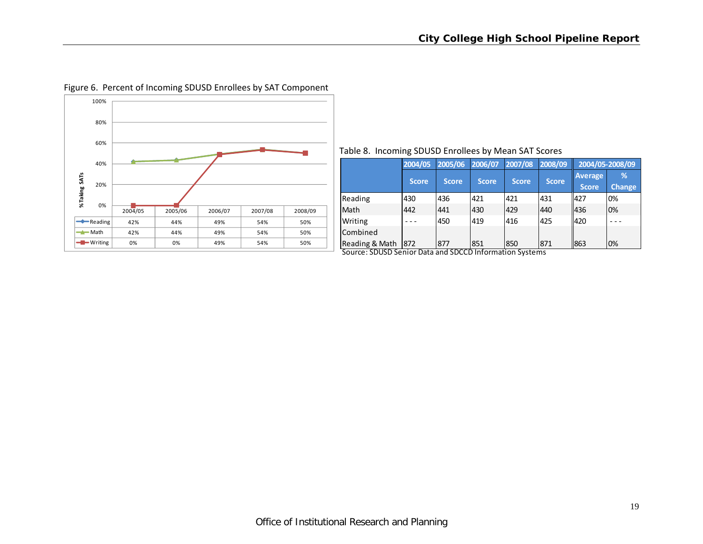

# Figure 6. Percent of Incoming SDUSD Enrollees by SAT Component

#### Table 8. Incoming SDUSD Enrollees by Mean SAT Scores

|                                                         | 2004/05      | 2005/06      | 2006/07      | 2007/08      | 2008/09      |                         | 2004/05-2008/09    |
|---------------------------------------------------------|--------------|--------------|--------------|--------------|--------------|-------------------------|--------------------|
|                                                         | <b>Score</b> | <b>Score</b> | <b>Score</b> | <b>Score</b> | <b>Score</b> | Average<br><b>Score</b> | %<br><b>Change</b> |
| Reading                                                 | 430          | 436          | 421          | 421          | 431          | 427                     | 0%                 |
| Math                                                    | 442          | 441          | 430          | 429          | 440          | 436                     | 0%                 |
| Writing                                                 |              | 450          | 419          | 416          | 425          | 420                     |                    |
| Combined                                                |              |              |              |              |              |                         |                    |
| Reading & Math                                          | 872          | 877          | 851          | 850          | 871          | 863                     | 0%                 |
| Source: SDUSD Senior Data and SDCCD Information Systems |              |              |              |              |              |                         |                    |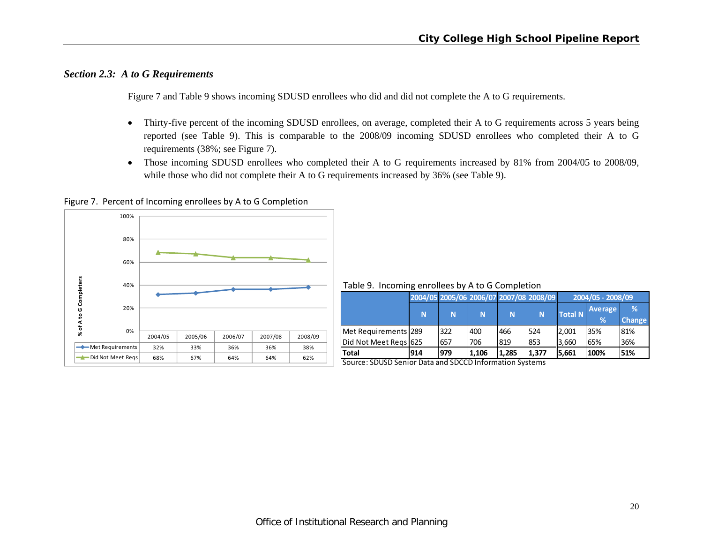# *Section 2.3: A to G Requirements*

Figure 7 and Table 9 shows incoming SDUSD enrollees who did and did not complete the A to G requirements.

- $\bullet$  Thirty-five percent of the incoming SDUSD enrollees, on average, completed their A to G requirements across 5 years being reported (see Table 9). This is comparable to the 2008/09 incoming SDUSD enrollees who completed their A to G requirements (38%; see Figure 7).
- $\bullet$  Those incoming SDUSD enrollees who completed their A to G requirements increased by 81% from 2004/05 to 2008/09, while those who did not complete their A to G requirements increased by 36% (see Table 9).

Figure 7. Percent of Incoming enrollees by A to G Completion



Table 9. Incoming enrollees by A to G Completion

|                       |     |     | 2004/05 2005/06 2006/07 2007/08 2008/09 |       |       |                | 2004/05 - 2008/09 |               |  |  |  |
|-----------------------|-----|-----|-----------------------------------------|-------|-------|----------------|-------------------|---------------|--|--|--|
|                       |     |     |                                         |       | N     | <b>Total N</b> | <b>Average</b>    | %             |  |  |  |
|                       | N   | N   | N                                       | N     |       |                | %                 | <b>Change</b> |  |  |  |
| Met Requirements 289  |     | 322 | 400                                     | 466   | 524   | 2,001          | 35%               | 81%           |  |  |  |
| Did Not Meet Regs 625 |     | 657 | 706                                     | 819   | 1853  | 3,660          | 65%               | 36%           |  |  |  |
| <b>Total</b>          | 914 | 979 | 1.106                                   | 1.285 | 1.377 | 15.661         | 100%              | 51%           |  |  |  |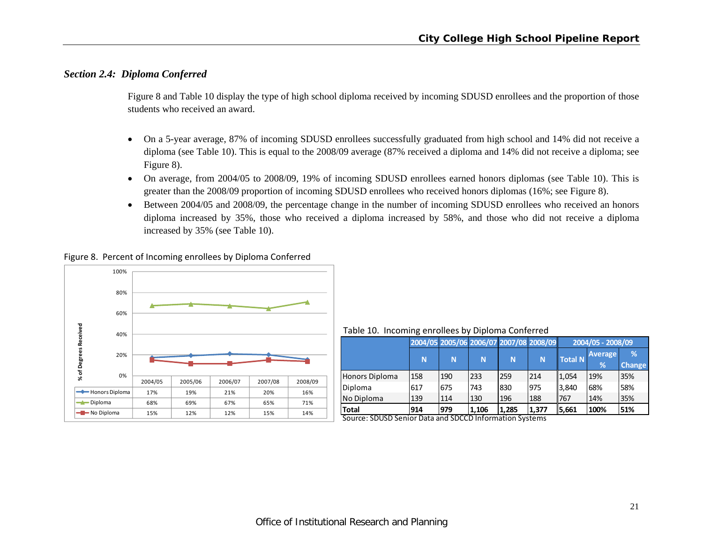# *Section 2.4: Diploma Conferred*

Figure 8 and Table 10 display the type of high school diploma received by incoming SDUSD enrollees and the proportion of those students who received an award.

- $\bullet$  On a 5-year average, 87% of incoming SDUSD enrollees successfully graduated from high school and 14% did not receive a diploma (see Table 10). This is equal to the 2008/09 average (87% received a diploma and 14% did not receive a diploma; see Figure 8).
- $\bullet$  On average, from 2004/05 to 2008/09, 19% of incoming SDUSD enrollees earned honors diplomas (see Table 10). This is greater than the 2008/09 proportion of incoming SDUSD enrollees who received honors diplomas (16%; see Figure 8).
- $\bullet$  Between 2004/05 and 2008/09, the percentage change in the number of incoming SDUSD enrollees who received an honors diploma increased by 35%, those who received a diploma increased by 58%, and those who did not receive a diploma increased by 35% (see Table 10).





Table 10. Incoming enrollees by Diploma Conferred

|                                        |     |     |       | 2004/05 2005/06 2006/07 2007/08 2008/09 |       |         | 2004/05 - 2008/09   |                    |
|----------------------------------------|-----|-----|-------|-----------------------------------------|-------|---------|---------------------|--------------------|
|                                        | N   | N   | N     | N                                       | N     | Total N | <b>Average</b><br>% | %<br><b>Change</b> |
| Honors Diploma                         | 158 | 190 | 233   | 259                                     | 214   | 1,054   | 19%                 | 35%                |
| Diploma                                | 617 | 675 | 743   | 830                                     | 975   | 3,840   | 68%                 | 58%                |
| No Diploma                             | 139 | 114 | 130   | 196                                     | 188   | 1767    | 14%                 | 35%                |
| <b>Total</b><br>$C_{2}, \ldots, C_{n}$ | 914 | 979 | 1,106 | 1.285                                   | 1,377 | 5,661   | 100%                | 51%                |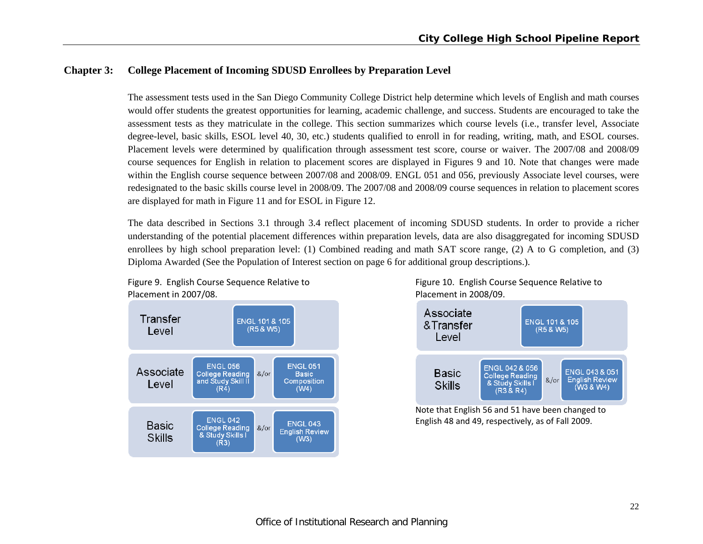# **Chapter 3: College Placement of Incoming SDUSD Enrollees by Preparation Level**

The assessment tests used in the San Diego Community College District help determine which levels of English and math courses would offer students the greatest opportunities for learning, academic challenge, and success. Students are encouraged to take the assessment tests as they matriculate in the college. This section summarizes which course levels (i.e., transfer level, Associate degree-level, basic skills, ESOL level 40, 30, etc.) students qualified to enroll in for reading, writing, math, and ESOL courses. Placement levels were determined by qualification through assessment test score, course or waiver. The 2007/08 and 2008/09 course sequences for English in relation to placement scores are displayed in Figures 9 and 10. Note that changes were made within the English course sequence between 2007/08 and 2008/09. ENGL 051 and 056, previously Associate level courses, were redesignated to the basic skills course level in 2008/09. The 2007/08 and 2008/09 course sequences in relation to placement scores are displayed for math in Figure 11 and for ESOL in Figure 12.

The data described in Sections 3.1 through 3.4 reflect placement of incoming SDUSD students. In order to provide a richer understanding of the potential placement differences within preparation levels, data are also disaggregated for incoming SDUSD enrollees by high school preparation level: (1) Combined reading and math SAT score range, (2) A to G completion, and (3) Diploma Awarded (See the Population of Interest section on page 6 for additional group descriptions.).



Figure 9. English Course Sequence Relative to Figure 10. English Course Sequence Relative to 2007/08. Placement in 2008/09.



Note that English 56 and 51 have been changed to English 48 and 49, respectively, as of Fall 2009.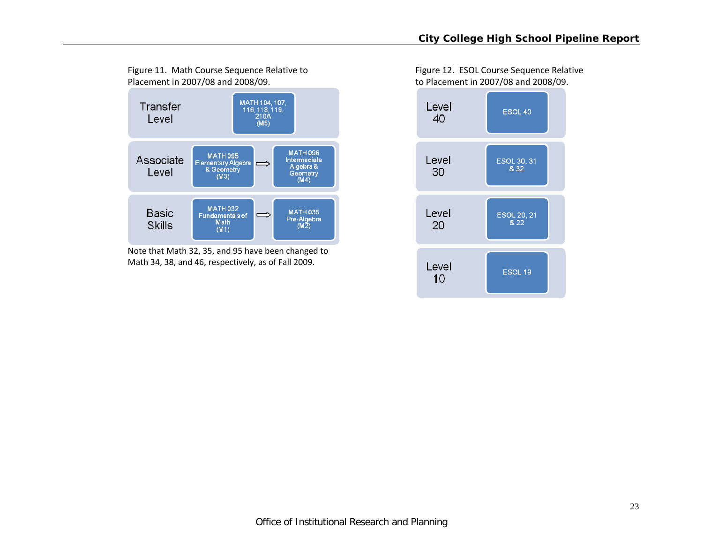

Note that Math 32, 35, and 95 have been changed to Math 34, 38, and 46, respectively, as of Fall 2009.

Figure 11. Math Course Sequence Relative to Figure 12. ESOL Course Sequence Relative 2007/08 and 2008/09. to Placement in 2007/08 and 2008/09.

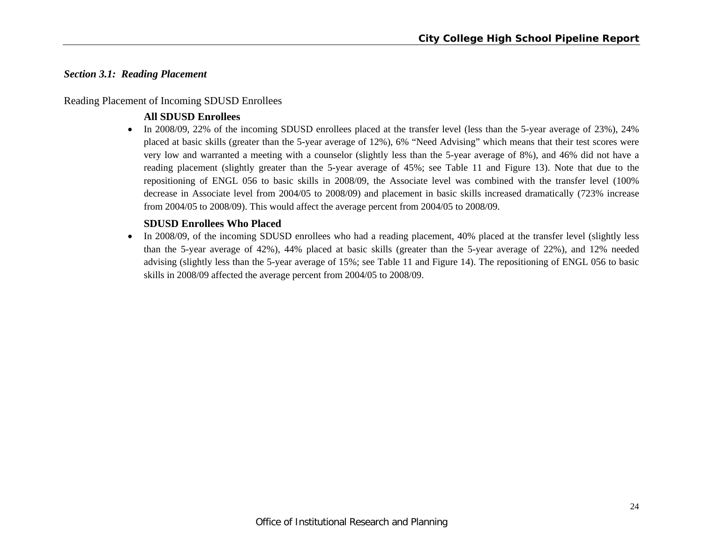# *Section 3.1: Reading Placement*

# Reading Placement of Incoming SDUSD Enrollees

# **All SDUSD Enrollees**

 In 2008/09, 22% of the incoming SDUSD enrollees placed at the transfer level (less than the 5-year average of 23%), 24% placed at basic skills (greater than the 5-year average of 12%), 6% "Need Advising" which means that their test scores were very low and warranted a meeting with a counselor (slightly less than the 5-year average of 8%), and 46% did not have a reading placement (slightly greater than the 5-year average of 45%; see Table 11 and Figure 13). Note that due to the repositioning of ENGL 056 to basic skills in 2008/09, the Associate level was combined with the transfer level (100% decrease in Associate level from 2004/05 to 2008/09) and placement in basic skills increased dramatically (723% increase from 2004/05 to 2008/09). This would affect the average percent from 2004/05 to 2008/09.

# **SDUSD Enrollees Who Placed**

• In 2008/09, of the incoming SDUSD enrollees who had a reading placement, 40% placed at the transfer level (slightly less than the 5-year average of 42%), 44% placed at basic skills (greater than the 5-year average of 22%), and 12% needed advising (slightly less than the 5-year average of 15%; see Table 11 and Figure 14). The repositioning of ENGL 056 to basic skills in 2008/09 affected the average percent from 2004/05 to 2008/09.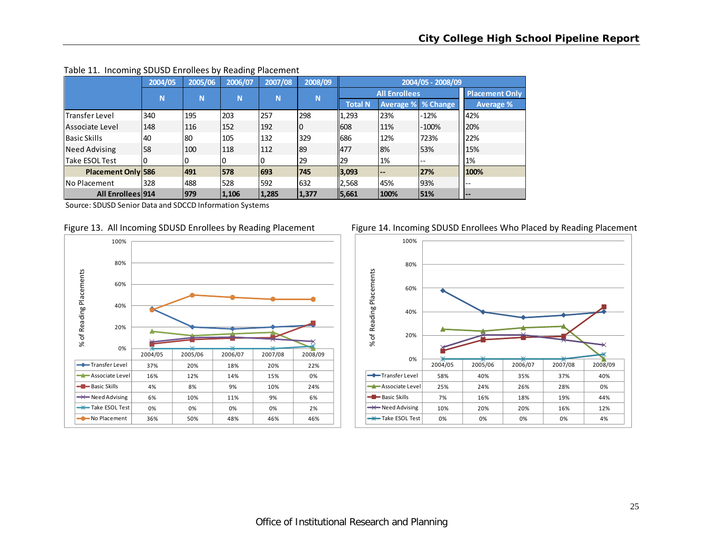|                           | 2004/05 | 2005/06 | 2006/07 | 2007/08 | 2008/09  |                |                          | 2004/05 - 2008/09         |                              |
|---------------------------|---------|---------|---------|---------|----------|----------------|--------------------------|---------------------------|------------------------------|
|                           | N       | N       | N       | N       | <b>N</b> |                | <b>All Enrollees</b>     |                           | <b>Placement Only</b>        |
|                           |         |         |         |         |          | <b>Total N</b> |                          | <b>Average % % Change</b> | Average %                    |
| <b>Transfer Level</b>     | 340     | 195     | 203     | 257     | 298      | 1,293          | 23%                      | $-12%$                    | 42%                          |
| Associate Level           | 148     | 116     | 152     | 192     | 10       | 608            | 11%                      | $-100%$                   | 20%                          |
| <b>Basic Skills</b>       | 40      | 80      | 105     | 132     | 329      | 686            | 12%                      | 723%                      | 22%                          |
| <b>Need Advising</b>      | 58      | 100     | 118     | 112     | 89       | 477            | 8%                       | 53%                       | 15%                          |
| lTake ESOL Test           |         |         |         |         | 29       | 29             | 1%                       | $\overline{\phantom{m}}$  | 1%                           |
| <b>Placement Only 586</b> |         | 491     | 578     | 693     | 745      | 3,093          | $\overline{\phantom{a}}$ | 27%                       | 100%                         |
| <b>No Placement</b>       | 328     | 488     | 528     | 592     | 632      | 2,568          | 45%                      | 93%                       | $- -$                        |
| <b>All Enrollees 914</b>  |         | 979     | 1,106   | 1,285   | 1,377    | 5,661          | 100%                     | 51%                       | $\qquad \qquad \blacksquare$ |

#### Table 11. Incoming SDUSD Enrollees by Reading Placement







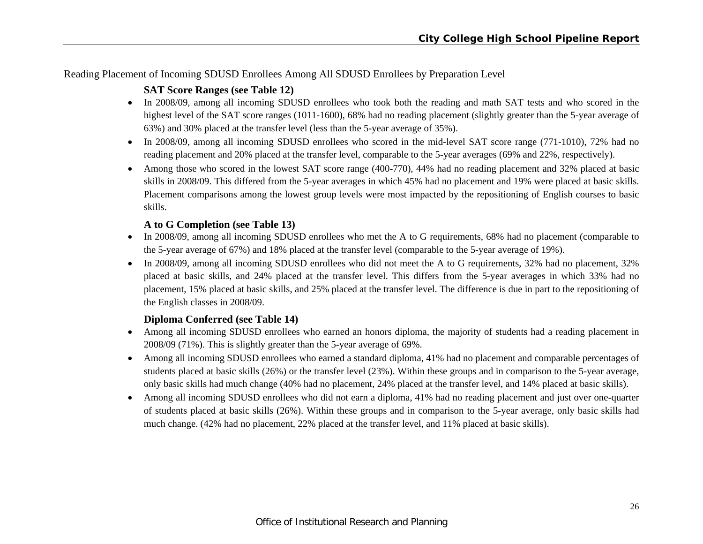# Reading Placement of Incoming SDUSD Enrollees Among All SDUSD Enrollees by Preparation Level

# **SAT Score Ranges (see Table 12)**

- In 2008/09, among all incoming SDUSD enrollees who took both the reading and math SAT tests and who scored in the highest level of the SAT score ranges (1011-1600), 68% had no reading placement (slightly greater than the 5-year average of 63%) and 30% placed at the transfer level (less than the 5-year average of 35%).
- In 2008/09, among all incoming SDUSD enrollees who scored in the mid-level SAT score range (771-1010), 72% had no reading placement and 20% placed at the transfer level, comparable to the 5-year averages (69% and 22%, respectively).
- Among those who scored in the lowest SAT score range (400-770), 44% had no reading placement and 32% placed at basic skills in 2008/09. This differed from the 5-year averages in which 45% had no placement and 19% were placed at basic skills. Placement comparisons among the lowest group levels were most impacted by the repositioning of English courses to basic skills.

# **A to G Completion (see Table 13)**

- In 2008/09, among all incoming SDUSD enrollees who met the A to G requirements, 68% had no placement (comparable to the 5-year average of 67%) and 18% placed at the transfer level (comparable to the 5-year average of 19%).
- In 2008/09, among all incoming SDUSD enrollees who did not meet the A to G requirements, 32% had no placement, 32% placed at basic skills, and 24% placed at the transfer level. This differs from the 5-year averages in which 33% had no placement, 15% placed at basic skills, and 25% placed at the transfer level. The difference is due in part to the repositioning of the English classes in 2008/09.

# **Diploma Conferred (see Table 14)**

- Among all incoming SDUSD enrollees who earned an honors diploma, the majority of students had a reading placement in 2008/09 (71%). This is slightly greater than the 5-year average of 69%.
- Among all incoming SDUSD enrollees who earned a standard diploma, 41% had no placement and comparable percentages of students placed at basic skills (26%) or the transfer level (23%). Within these groups and in comparison to the 5-year average, only basic skills had much change (40% had no placement, 24% placed at the transfer level, and 14% placed at basic skills).
- Among all incoming SDUSD enrollees who did not earn a diploma, 41% had no reading placement and just over one-quarter of students placed at basic skills (26%). Within these groups and in comparison to the 5-year average, only basic skills had much change. (42% had no placement, 22% placed at the transfer level, and 11% placed at basic skills).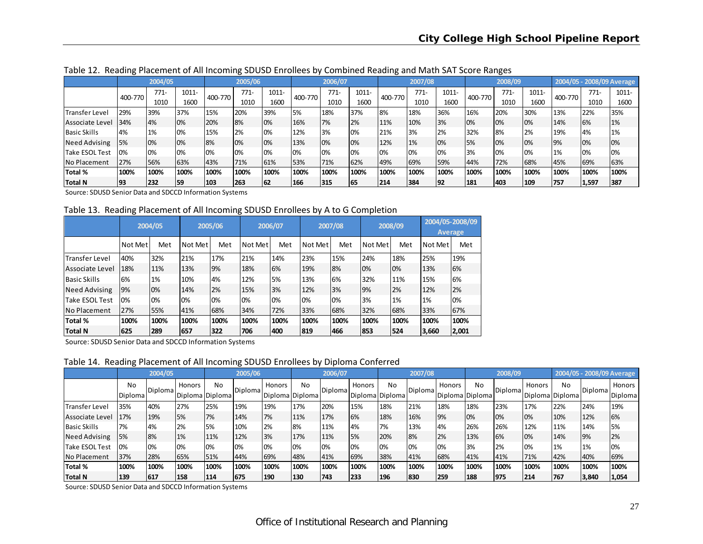|                       | ັ       |         |       |         |         |       |         |         |       | ີ       |         |       |         |         |       |         |       |                           |
|-----------------------|---------|---------|-------|---------|---------|-------|---------|---------|-------|---------|---------|-------|---------|---------|-------|---------|-------|---------------------------|
|                       |         | 2004/05 |       |         | 2005/06 |       |         | 2006/07 |       |         | 2007/08 |       |         | 2008/09 |       |         |       | 2004/05 - 2008/09 Average |
|                       | 400-770 | $771-$  | 1011- | 400-770 | 771-    | 1011- | 400-770 | $771-$  | 1011- | 400-770 | $771-$  | 1011- | 400-770 | $771-$  | 1011- | 400-770 | 771-  | 1011-                     |
|                       |         | 1010    | 1600  |         | 1010    | 1600  |         | 1010    | 1600  |         | 1010    | 1600  |         | 1010    | 1600  |         | 1010  | 1600                      |
| <b>Transfer Level</b> | 29%     | 39%     | 37%   | 15%     | 20%     | 39%   | 5%      | 18%     | 37%   | 8%      | 18%     | 36%   | 16%     | 20%     | 30%   | 13%     | 22%   | 35%                       |
| Associate Level       | 34%     | 4%      | 0%    | 20%     | 8%      | 10%   | 16%     | 7%      | 2%    | 11%     | 10%     | 3%    | 0%      | 0%      | 0%    | 14%     | 6%    | 1%                        |
| <b>Basic Skills</b>   | 4%      | 1%      | 0%    | 15%     | 2%      | 10%   | 12%     | 3%      | 0%    | 21%     | 3%      | 2%    | 32%     | 8%      | 2%    | 19%     | 4%    | 1%                        |
| Need Advising         | 5%      | 0%      | 0%    | 8%      | 10%     | 10%   | 13%     | 0%      | 0%    | 12%     | 1%      | 0%    | 5%      | 0%      | 0%    | 9%      | 0%    | 0%                        |
| Take ESOL Test        | 0%      | 0%      | 0%    | 0%      | 10%     | 10%   | 0%      | 0%      | 0%    | 0%      | 0%      | 0%    | 3%      | 0%      | 0%    | 1%      | 0%    | 0%                        |
| No Placement          | 27%     | 56%     | 63%   | 43%     | 71%     | 61%   | 53%     | 71%     | 62%   | 49%     | 69%     | 59%   | 44%     | 72%     | 68%   | 45%     | 69%   | 63%                       |
| Total %               | 100%    | 100%    | 100%  | 100%    | 100%    | 100%  | 100%    | 100%    | 100%  | 100%    | 100%    | 100%  | 100%    | 100%    | 100%  | 100%    | 100%  | 100%                      |
| Total N               | 93      | 232     | 59    | 103     | 263     | 62    | 166     | 315     | 165   | 214     | 384     | 192   | 181     | 403     | 109   | 757     | 1,597 | 387                       |

Table 12. Reading Placement of All Incoming SDUSD Enrollees by Combined Reading and Math SAT Score Ranges

Source: SDUSD Senior Data and SDCCD Information Systems

Table 13. Reading Placement of All Incoming SDUSD Enrollees by A to G Completion

|                        |         | 2004/05 |         | 2005/06 |         | 2006/07 |         | 2007/08 |         | 2008/09 |         | 2004/05-2008/09<br><b>Average</b> |
|------------------------|---------|---------|---------|---------|---------|---------|---------|---------|---------|---------|---------|-----------------------------------|
|                        | Not Met | Met     | Not Met | Met     | Not Met | Met     | Not Met | Met     | Not Met | Met     | Not Met | Met                               |
| <b>ITransfer Level</b> | 40%     | 32%     | 21%     | 17%     | 21%     | 14%     | 23%     | 15%     | 24%     | 18%     | 25%     | 19%                               |
| Associate Level        | 18%     | 11%     | 13%     | 9%      | 18%     | 6%      | 19%     | 8%      | 0%      | 0%      | 13%     | 6%                                |
| <b>Basic Skills</b>    | 6%      | 1%      | 10%     | 4%      | 12%     | 5%      | 13%     | 6%      | 32%     | 11%     | 15%     | 6%                                |
| <b>Need Advising</b>   | 9%      | 0%      | 14%     | 2%      | 15%     | 3%      | 12%     | 3%      | 9%      | 2%      | 12%     | 2%                                |
| Take ESOL Test         | 0%      | 0%      | 0%      | 0%      | 0%      | 0%      | 0%      | 0%      | 3%      | 1%      | 1%      | 0%                                |
| No Placement           | 27%     | 55%     | 41%     | 68%     | 34%     | 72%     | 33%     | 68%     | 32%     | 68%     | 33%     | 67%                               |
| Total %                | 100%    | 100%    | 100%    | 100%    | 100%    | 100%    | 100%    | 100%    | 100%    | 100%    | 100%    | 100%                              |
| Total N                | 625     | 289     | 657     | 322     | 706     | 400     | 819     | 466     | 853     | 524     | 3,660   | 2,001                             |

Source: SDUSD Senior Data and SDCCD Information Systems

Table 14. Reading Placement of All Incoming SDUSD Enrollees by Diploma Conferred

|                     |                      | 2004/05 |               |                       | 2005/06 |                           |      | 2006/07 |        |                       | 2007/08        |        |                       | 2008/09 |               |                       |         | 2004/05 - 2008/09 Average |
|---------------------|----------------------|---------|---------------|-----------------------|---------|---------------------------|------|---------|--------|-----------------------|----------------|--------|-----------------------|---------|---------------|-----------------------|---------|---------------------------|
|                     | No<br><b>Diploma</b> | Diploma | <b>Honors</b> | No<br>Diploma Diploma | Diploma | Honors<br>Diploma Diploma | No   | Diploma | Honors | No<br>Diploma Diploma | <b>Diploma</b> | Honors | No<br>Diploma Diploma | Diploma | <b>Honors</b> | No<br>Diploma Diploma | Diploma | Honors<br>Diploma         |
| Transfer Level      | 35%                  | 40%     | 27%           | 25%                   | 19%     | 19%                       | 17%  | 20%     | 15%    | 18%                   | 21%            | 18%    | 18%                   | 23%     | 17%           | 22%                   | 24%     | 19%                       |
| Associate Level     | 17%                  | 19%     | 5%            | 7%                    | 14%     | 7%                        | 11%  | 17%     | 6%     | 18%                   | 16%            | 9%     | 0%                    | 10%     | 10%           | 10%                   | 12%     | 6%                        |
| <b>Basic Skills</b> | 7%                   | 4%      | 2%            | 5%                    | 10%     | 2%                        | 8%   | 11%     | 4%     | 7%                    | 13%            | 4%     | 26%                   | 26%     | 12%           | 11%                   | 14%     | 5%                        |
| Need Advising       | 5%                   | 8%      | 1%            | 11%                   | 12%     | 3%                        | 17%  | 11%     | 5%     | 20%                   | 8%             | 2%     | 13%                   | 6%      | 10%           | 14%                   | 9%      | 2%                        |
| Take ESOL Test      | 0%                   | 0%      | 0%            | 0%                    | 0%      | 10%                       | 0%   | 0%      | 0%     | 0%                    | 0%             | 0%     | 3%                    | 2%      | 0%            | 1%                    | 1%      | 0%                        |
| No Placement        | 37%                  | 28%     | 65%           | 51%                   | 44%     | 69%                       | 48%  | 41%     | 69%    | 38%                   | 41%            | 68%    | 41%                   | 41%     | 71%           | 42%                   | 40%     | 69%                       |
| Total %             | 100%                 | 100%    | 100%          | 100%                  | 100%    | 100%                      | 100% | 100%    | 100%   | 100%                  | 100%           | 100%   | 100%                  | 100%    | 100%          | 100%                  | 100%    | 100%                      |
| <b>Total N</b>      | 139                  | 617     | 158           | 114                   | 675     | 190                       | 130  | 743     | 233    | 196                   | 830            | 259    | 188                   | 975     | 214           | 767                   | 3,840   | 1,054                     |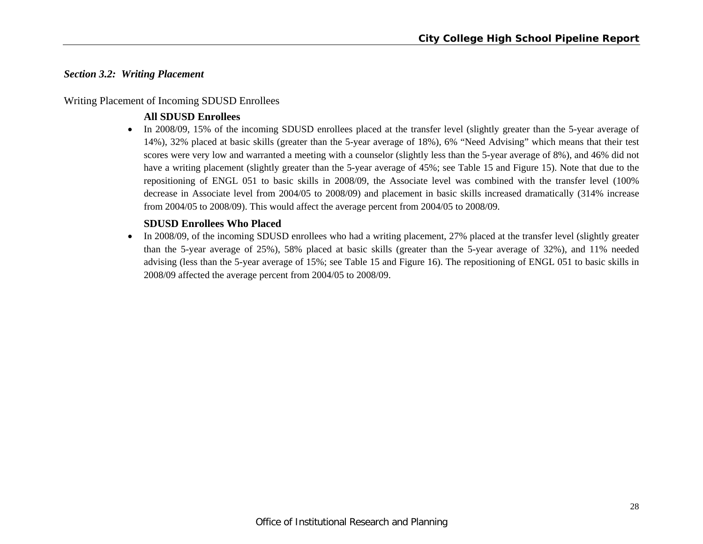# *Section 3.2: Writing Placement*

# Writing Placement of Incoming SDUSD Enrollees

# **All SDUSD Enrollees**

• In 2008/09, 15% of the incoming SDUSD enrollees placed at the transfer level (slightly greater than the 5-year average of 14%), 32% placed at basic skills (greater than the 5-year average of 18%), 6% "Need Advising" which means that their test scores were very low and warranted a meeting with a counselor (slightly less than the 5-year average of 8%), and 46% did not have a writing placement (slightly greater than the 5-year average of 45%; see Table 15 and Figure 15). Note that due to the repositioning of ENGL 051 to basic skills in 2008/09, the Associate level was combined with the transfer level (100% decrease in Associate level from 2004/05 to 2008/09) and placement in basic skills increased dramatically (314% increase from 2004/05 to 2008/09). This would affect the average percent from 2004/05 to 2008/09.

# **SDUSD Enrollees Who Placed**

 $\bullet$  In 2008/09, of the incoming SDUSD enrollees who had a writing placement, 27% placed at the transfer level (slightly greater than the 5-year average of 25%), 58% placed at basic skills (greater than the 5-year average of 32%), and 11% needed advising (less than the 5-year average of 15%; see Table 15 and Figure 16). The repositioning of ENGL 051 to basic skills in 2008/09 affected the average percent from 2004/05 to 2008/09.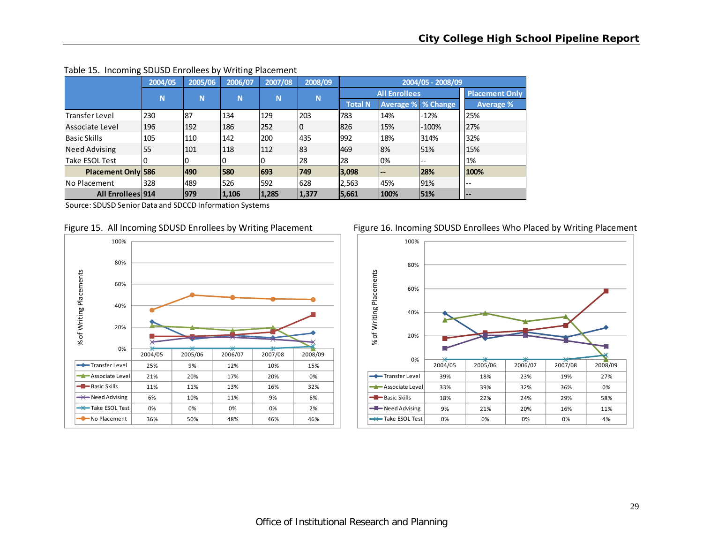| -                         |         |         | ັ       |         |         |                |                              |                           |                       |
|---------------------------|---------|---------|---------|---------|---------|----------------|------------------------------|---------------------------|-----------------------|
|                           | 2004/05 | 2005/06 | 2006/07 | 2007/08 | 2008/09 |                |                              | 2004/05 - 2008/09         |                       |
|                           | N.      | N       | N       | N       | N       |                | <b>All Enrollees</b>         |                           | <b>Placement Only</b> |
|                           |         |         |         |         |         | <b>Total N</b> |                              | <b>Average % % Change</b> | <b>Average %</b>      |
| <b>Transfer Level</b>     | 230     | 87      | 134     | 129     | 203     | 783            | 14%                          | -12%                      | 25%                   |
| Associate Level           | 196     | 192     | 186     | 252     | 10      | 1826           | 15%                          | $-100%$                   | 27%                   |
| <b>Basic Skills</b>       | 105     | 110     | 142     | 200     | 435     | 992            | 18%                          | 314%                      | 32%                   |
| Need Advising             | 55      | 101     | 118     | 112     | 83      | 469            | 8%                           | 51%                       | 15%                   |
| Take ESOL Test            |         |         | 0       |         | 28      | 28             | 0%                           | $\overline{\phantom{m}}$  | 1%                    |
| <b>Placement Only 586</b> |         | 490     | 580     | 693     | 749     | 3,098          | $\qquad \qquad \blacksquare$ | 28%                       | 100%                  |
| INo Placement             | 328     | 489     | 526     | 592     | 628     | 2,563          | 45%                          | 91%                       | ı – –                 |
| <b>All Enrollees 914</b>  |         | 979     | 1,106   | 1,285   | 1,377   | 5,661          | 100%                         | 51%                       | $- -$                 |

#### Table 15. Incoming SDUSD Enrollees by Writing Placement





Figure 15. All Incoming SDUSD Enrollees by Writing Placement Figure 16. Incoming SDUSD Enrollees Who Placed by Writing Placement

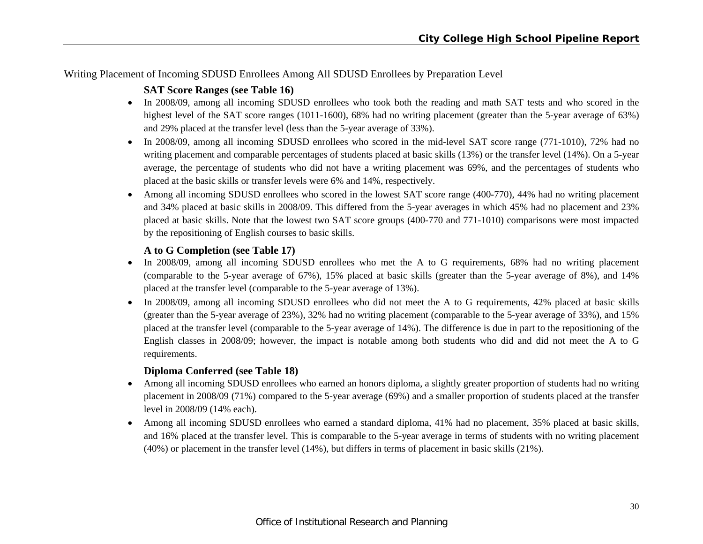Writing Placement of Incoming SDUSD Enrollees Among All SDUSD Enrollees by Preparation Level

# **SAT Score Ranges (see Table 16)**

- In 2008/09, among all incoming SDUSD enrollees who took both the reading and math SAT tests and who scored in the highest level of the SAT score ranges (1011-1600), 68% had no writing placement (greater than the 5-year average of 63%) and 29% placed at the transfer level (less than the 5-year average of 33%).
- In 2008/09, among all incoming SDUSD enrollees who scored in the mid-level SAT score range (771-1010), 72% had no writing placement and comparable percentages of students placed at basic skills (13%) or the transfer level (14%). On a 5-year average, the percentage of students who did not have a writing placement was 69%, and the percentages of students who placed at the basic skills or transfer levels were 6% and 14%, respectively.
- Among all incoming SDUSD enrollees who scored in the lowest SAT score range (400-770), 44% had no writing placement and 34% placed at basic skills in 2008/09. This differed from the 5-year averages in which 45% had no placement and 23% placed at basic skills. Note that the lowest two SAT score groups (400-770 and 771-1010) comparisons were most impacted by the repositioning of English courses to basic skills.

# **A to G Completion (see Table 17)**

- In 2008/09, among all incoming SDUSD enrollees who met the A to G requirements, 68% had no writing placement (comparable to the 5-year average of 67%), 15% placed at basic skills (greater than the 5-year average of 8%), and 14% placed at the transfer level (comparable to the 5-year average of 13%).
- In 2008/09, among all incoming SDUSD enrollees who did not meet the A to G requirements, 42% placed at basic skills (greater than the 5-year average of 23%), 32% had no writing placement (comparable to the 5-year average of 33%), and 15% placed at the transfer level (comparable to the 5-year average of 14%). The difference is due in part to the repositioning of the English classes in 2008/09; however, the impact is notable among both students who did and did not meet the A to G requirements.

## **Diploma Conferred (see Table 18)**

- $\bullet$  Among all incoming SDUSD enrollees who earned an honors diploma, a slightly greater proportion of students had no writing placement in 2008/09 (71%) compared to the 5-year average (69%) and a smaller proportion of students placed at the transfer level in 2008/09 (14% each).
- $\bullet$  Among all incoming SDUSD enrollees who earned a standard diploma, 41% had no placement, 35% placed at basic skills, and 16% placed at the transfer level. This is comparable to the 5-year average in terms of students with no writing placement (40%) or placement in the transfer level (14%), but differs in terms of placement in basic skills (21%).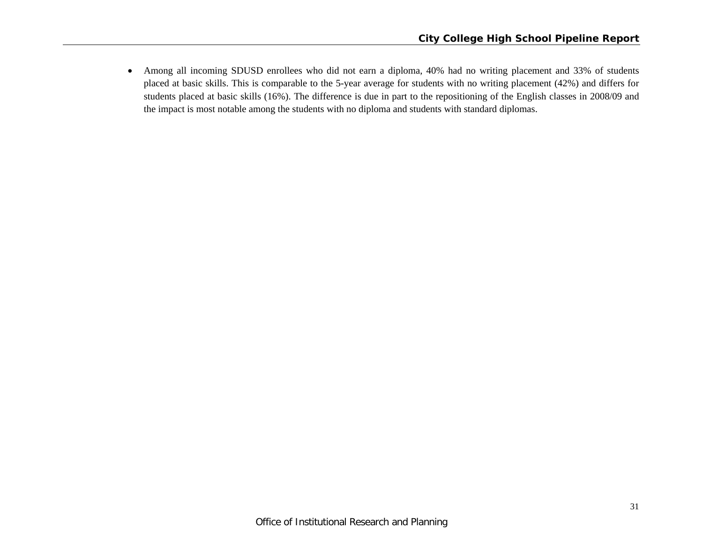$\bullet$  Among all incoming SDUSD enrollees who did not earn a diploma, 40% had no writing placement and 33% of students placed at basic skills. This is comparable to the 5-year average for students with no writing placement (42%) and differs for students placed at basic skills (16%). The difference is due in part to the repositioning of the English classes in 2008/09 and the impact is most notable among the students with no diploma and students with standard diplomas.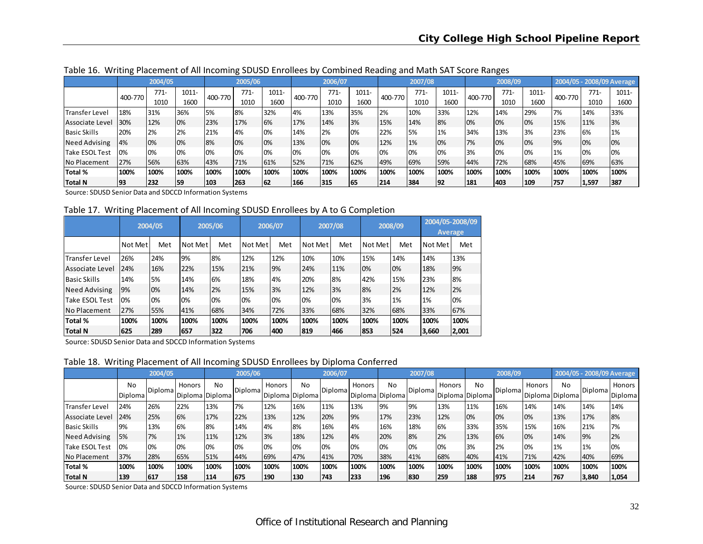|                       | ີ       |         |       |         |         |       |         |         |       | ັ       |         |       |         | ~       |       |         |       |                           |
|-----------------------|---------|---------|-------|---------|---------|-------|---------|---------|-------|---------|---------|-------|---------|---------|-------|---------|-------|---------------------------|
|                       |         | 2004/05 |       |         | 2005/06 |       |         | 2006/07 |       |         | 2007/08 |       |         | 2008/09 |       |         |       | 2004/05 - 2008/09 Average |
|                       | 400-770 | $771-$  | 1011- | 400-770 | 771-    | 1011- | 400-770 | $771-$  | 1011- | 400-770 | $771-$  | 1011- | 400-770 | $771-$  | 1011- | 400-770 | 771-  | 1011-                     |
|                       |         | 1010    | 1600  |         | 1010    | 1600  |         | 1010    | 1600  |         | 1010    | 1600  |         | 1010    | 1600  |         | 1010  | 1600                      |
| <b>Transfer Level</b> | 18%     | 31%     | 36%   | 5%      | 8%      | 32%   | 4%      | 13%     | 35%   | 2%      | 10%     | 33%   | 12%     | 14%     | 29%   | 7%      | 14%   | 33%                       |
| Associate Level       | 30%     | 12%     | 0%    | 23%     | 17%     | 6%    | 17%     | 14%     | 3%    | 15%     | 14%     | 8%    | 0%      | 0%      | 0%    | 15%     | 11%   | 3%                        |
| <b>Basic Skills</b>   | 20%     | 2%      | 2%    | 21%     | 4%      | 10%   | 14%     | 2%      | 0%    | 22%     | 5%      | 1%    | 34%     | 13%     | 3%    | 23%     | 6%    | 1%                        |
| Need Advising         | 4%      | 0%      | 0%    | 8%      | 10%     | 10%   | 13%     | 0%      | 0%    | 12%     | 1%      | 0%    | 7%      | 0%      | 0%    | 9%      | 0%    | 0%                        |
| Take ESOL Test        | 0%      | 0%      | 0%    | 0%      | 10%     | 10%   | 0%      | 0%      | 0%    | 0%      | 0%      | 0%    | 3%      | 0%      | 0%    | 1%      | 0%    | 0%                        |
| No Placement          | 27%     | 56%     | 63%   | 43%     | 71%     | 61%   | 52%     | 71%     | 62%   | 49%     | 69%     | 59%   | 44%     | 72%     | 68%   | 45%     | 69%   | 63%                       |
| Total %               | 100%    | 100%    | 100%  | 100%    | 100%    | 100%  | 100%    | 100%    | 100%  | 100%    | 100%    | 100%  | 100%    | 100%    | 100%  | 100%    | 100%  | 100%                      |
| Total N               | 93      | 232     | 59    | 103     | 263     | 62    | 166     | 315     | 165   | 214     | 384     | 192   | 181     | 403     | 109   | 757     | 1,597 | 387                       |

Table 16. Writing Placement of All Incoming SDUSD Enrollees by Combined Reading and Math SAT Score Ranges

Source: SDUSD Senior Data and SDCCD Information Systems

Table 17. Writing Placement of All Incoming SDUSD Enrollees by A to G Completion

|                        |         | 2004/05 |         | 2005/06 |         | 2006/07 |         | 2007/08 |         | 2008/09 |         | 2004/05-2008/09<br><b>Average</b> |
|------------------------|---------|---------|---------|---------|---------|---------|---------|---------|---------|---------|---------|-----------------------------------|
|                        | Not Met | Met     | Not Met | Met     | Not Met | Met     | Not Met | Met     | Not Met | Met     | Not Met | Met                               |
| <b>ITransfer Level</b> | 26%     | 24%     | 9%      | 8%      | 12%     | 12%     | 10%     | 10%     | 15%     | 14%     | 14%     | 13%                               |
| Associate Level        | 24%     | 16%     | 22%     | 15%     | 21%     | 9%      | 24%     | 11%     | 0%      | 0%      | 18%     | 9%                                |
| <b>Basic Skills</b>    | 14%     | 5%      | 14%     | 6%      | 18%     | 4%      | 20%     | 8%      | 42%     | 15%     | 23%     | 8%                                |
| <b>Need Advising</b>   | 9%      | 0%      | 14%     | 2%      | 15%     | 3%      | 12%     | 3%      | 8%      | 2%      | 12%     | 2%                                |
| Take ESOL Test         | 0%      | 0%      | 0%      | 0%      | 0%      | 0%      | 0%      | 0%      | 3%      | 1%      | 1%      | 0%                                |
| No Placement           | 27%     | 55%     | 41%     | 68%     | 34%     | 72%     | 33%     | 68%     | 32%     | 68%     | 33%     | 67%                               |
| Total %                | 100%    | 100%    | 100%    | 100%    | 100%    | 100%    | 100%    | 100%    | 100%    | 100%    | 100%    | 100%                              |
| Total N                | 625     | 289     | 657     | 322     | 706     | 400     | 819     | 466     | 853     | 524     | 3,660   | 2,001                             |

Source: SDUSD Senior Data and SDCCD Information Systems

Table 18. Writing Placement of All Incoming SDUSD Enrollees by Diploma Conferred

|                       |                      | 2004/05 |        |                       | 2005/06 |                           |      | 2006/07 |                           |      | 2007/08 |        |                       | 2008/09        |        |                       |         | 2004/05 - 2008/09 Average |
|-----------------------|----------------------|---------|--------|-----------------------|---------|---------------------------|------|---------|---------------------------|------|---------|--------|-----------------------|----------------|--------|-----------------------|---------|---------------------------|
|                       | No<br><b>Diploma</b> | Diploma | Honors | No<br>Diploma Diploma | Diploma | Honors<br>Diploma Diploma | No   | Diploma | Honors<br>Diploma Diploma | No   | Diploma | Honors | No<br>Diploma Diploma | <b>Diploma</b> | Honors | No<br>Diploma Diploma | Diploma | Honors<br>Diploma         |
| <b>Transfer Level</b> | 24%                  | 26%     | 22%    | 13%                   | 7%      | 12%                       | 16%  | 11%     | 13%                       | 9%   | 9%      | 13%    | 11%                   | 16%            | 14%    | 14%                   | 14%     | 14%                       |
| Associate Level       | 24%                  | 25%     | 6%     | 17%                   | 22%     | 13%                       | 12%  | 20%     | 9%                        | 17%  | 23%     | 12%    | 0%                    | 0%             | 0%     | 13%                   | 17%     | 8%                        |
| <b>Basic Skills</b>   | 9%                   | 13%     | 6%     | 8%                    | 14%     | 4%                        | 8%   | 16%     | 4%                        | 16%  | 18%     | 6%     | 33%                   | 35%            | 15%    | 16%                   | 21%     | 17%                       |
| Need Advising         | 5%                   | 7%      | 1%     | 11%                   | 12%     | 3%                        | 18%  | 12%     | 4%                        | 20%  | 8%      | 2%     | 13%                   | 6%             | 0%     | 14%                   | 9%      | 2%                        |
| Take ESOL Test        | 0%                   | 0%      | 0%     | 0%                    | 10%     | 10%                       | 0%   | 0%      | 0%                        | 0%   | 0%      | 0%     | 3%                    | 2%             | 0%     | 1%                    | 1%      | 0%                        |
| No Placement          | 37%                  | 28%     | 65%    | 51%                   | 44%     | 69%                       | 47%  | 41%     | 70%                       | 38%  | 41%     | 68%    | 40%                   | 41%            | 71%    | 42%                   | 40%     | 69%                       |
| Total %               | 100%                 | 100%    | 100%   | 100%                  | 100%    | 100%                      | 100% | 100%    | 100%                      | 100% | 100%    | 100%   | 100%                  | 100%           | 100%   | 100%                  | 100%    | 100%                      |
| Total N               | 139                  | 617     | 158    | 114                   | 675     | 190                       | 130  | 743     | 233                       | 196  | 830     | 259    | 188                   | 1975           | 214    | 767                   | 3,840   | 1,054                     |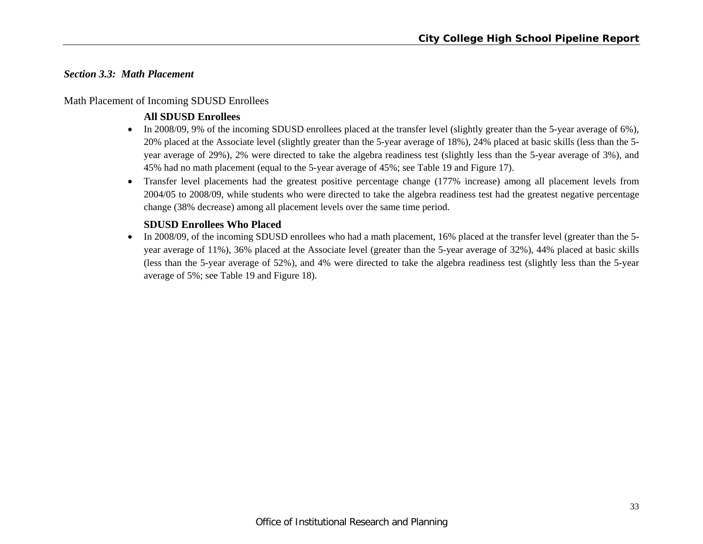# *Section 3.3: Math Placement*

# Math Placement of Incoming SDUSD Enrollees

# **All SDUSD Enrollees**

- In 2008/09, 9% of the incoming SDUSD enrollees placed at the transfer level (slightly greater than the 5-year average of 6%), 20% placed at the Associate level (slightly greater than the 5-year average of 18%), 24% placed at basic skills (less than the 5 year average of 29%), 2% were directed to take the algebra readiness test (slightly less than the 5-year average of 3%), and 45% had no math placement (equal to the 5-year average of 45%; see Table 19 and Figure 17).
- Transfer level placements had the greatest positive percentage change (177% increase) among all placement levels from 2004/05 to 2008/09, while students who were directed to take the algebra readiness test had the greatest negative percentage change (38% decrease) among all placement levels over the same time period.

# **SDUSD Enrollees Who Placed**

• In 2008/09, of the incoming SDUSD enrollees who had a math placement, 16% placed at the transfer level (greater than the 5year average of 11%), 36% placed at the Associate level (greater than the 5-year average of 32%), 44% placed at basic skills (less than the 5-year average of 52%), and 4% were directed to take the algebra readiness test (slightly less than the 5-year average of 5%; see Table 19 and Figure 18).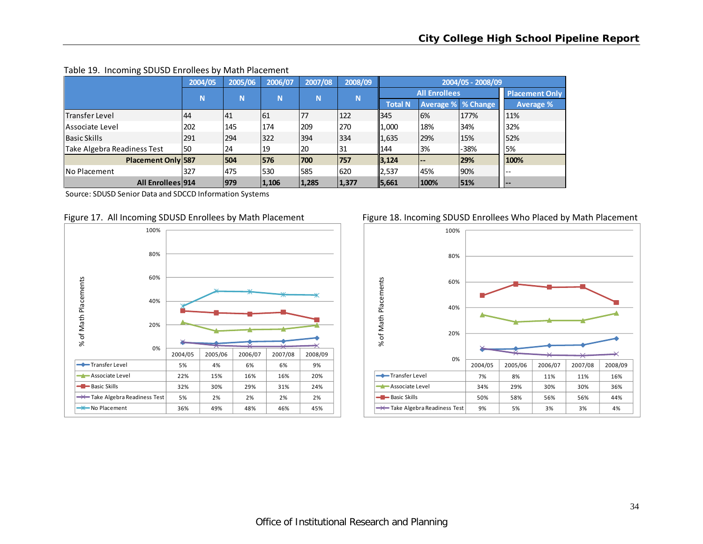|                             | 2004/05 | 2005/06 | 2006/07 | 2007/08 | 2008/09 |                |                      | 2004/05 - 2008/09 |                       |
|-----------------------------|---------|---------|---------|---------|---------|----------------|----------------------|-------------------|-----------------------|
|                             | N       | N       | N       | N       | N       |                | <b>All Enrollees</b> |                   | <b>Placement Only</b> |
|                             |         |         |         |         |         | <b>Total N</b> | Average % % Change   |                   | <b>Average %</b>      |
| <b>Transfer Level</b>       | 44      | 41      | 61      | 77      | 122     | 345            | 6%                   | 177%              | 11%                   |
| Associate Level             | 202     | 145     | 174     | 209     | 270     | 1,000          | 18%                  | 34%               | 32%                   |
| lBasic Skills               | 291     | 294     | 322     | 394     | 334     | 1,635          | 29%                  | 15%               | 52%                   |
| Take Algebra Readiness Test | 50      | 24      | 19      | 20      | 31      | 144            | 3%                   | -38%              | 5%                    |
| <b>Placement Only 587</b>   |         | 1504    | 576     | 700     | 757     | 3,124          | $- -$                | 29%               | 100%                  |
| <b>No Placement</b>         | 327     | 475     | 530     | 585     | 620     | 2,537          | 45%                  | 90%               | $-$                   |
| All Enrollees 914           |         | 979     | 1,106   | 1,285   | 1,377   | 5,661          | 100%                 | 51%               | $--$                  |

#### Table 19. Incoming SDUSD Enrollees by Math Placement

Source: SDUSD Senior Data and SDCCD Information Systems



#### Figure 17. All Incoming SDUSD Enrollees by Math Placement Figure 18. Incoming SDUSD Enrollees Who Placed by Math Placement

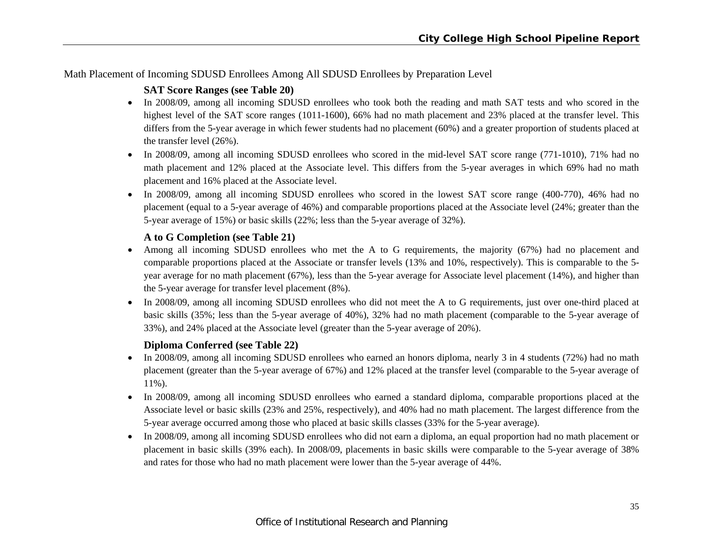Math Placement of Incoming SDUSD Enrollees Among All SDUSD Enrollees by Preparation Level

# **SAT Score Ranges (see Table 20)**

- In 2008/09, among all incoming SDUSD enrollees who took both the reading and math SAT tests and who scored in the highest level of the SAT score ranges (1011-1600), 66% had no math placement and 23% placed at the transfer level. This differs from the 5-year average in which fewer students had no placement (60%) and a greater proportion of students placed at the transfer level (26%).
- In 2008/09, among all incoming SDUSD enrollees who scored in the mid-level SAT score range (771-1010), 71% had no math placement and 12% placed at the Associate level. This differs from the 5-year averages in which 69% had no math placement and 16% placed at the Associate level.
- In 2008/09, among all incoming SDUSD enrollees who scored in the lowest SAT score range (400-770), 46% had no placement (equal to a 5-year average of 46%) and comparable proportions placed at the Associate level (24%; greater than the 5-year average of 15%) or basic skills (22%; less than the 5-year average of 32%).

# **A to G Completion (see Table 21)**

- Among all incoming SDUSD enrollees who met the A to G requirements, the majority (67%) had no placement and comparable proportions placed at the Associate or transfer levels (13% and 10%, respectively). This is comparable to the 5 year average for no math placement (67%), less than the 5-year average for Associate level placement (14%), and higher than the 5-year average for transfer level placement (8%).
- In 2008/09, among all incoming SDUSD enrollees who did not meet the A to G requirements, just over one-third placed at basic skills (35%; less than the 5-year average of 40%), 32% had no math placement (comparable to the 5-year average of 33%), and 24% placed at the Associate level (greater than the 5-year average of 20%).

# **Diploma Conferred (see Table 22)**

- In 2008/09, among all incoming SDUSD enrollees who earned an honors diploma, nearly 3 in 4 students (72%) had no math placement (greater than the 5-year average of 67%) and 12% placed at the transfer level (comparable to the 5-year average of 11%).
- In 2008/09, among all incoming SDUSD enrollees who earned a standard diploma, comparable proportions placed at the Associate level or basic skills (23% and 25%, respectively), and 40% had no math placement. The largest difference from the 5-year average occurred among those who placed at basic skills classes (33% for the 5-year average).
- In 2008/09, among all incoming SDUSD enrollees who did not earn a diploma, an equal proportion had no math placement or placement in basic skills (39% each). In 2008/09, placements in basic skills were comparable to the 5-year average of 38% and rates for those who had no math placement were lower than the 5-year average of 44%.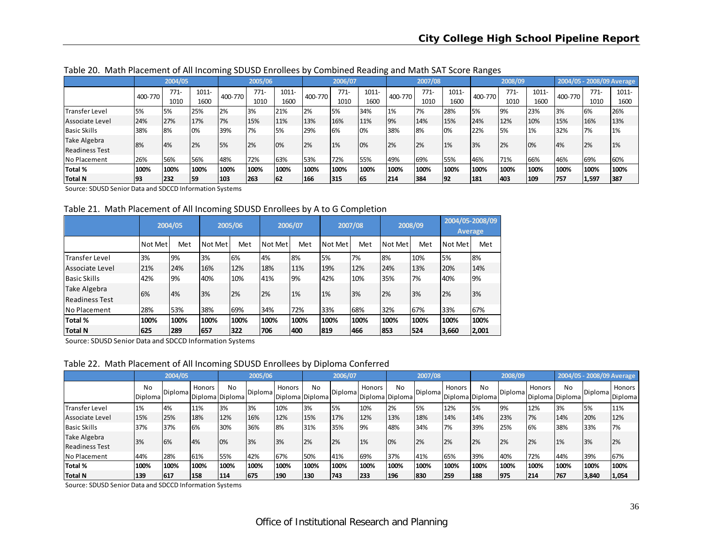|                       |         | 2004/05 |       |         | 2005/06 |       |         | 2006/07   |          |         | 2007/08 |          |           | 2008/09 |          |         |        | 2004/05 - 2008/09 Average |
|-----------------------|---------|---------|-------|---------|---------|-------|---------|-----------|----------|---------|---------|----------|-----------|---------|----------|---------|--------|---------------------------|
|                       | 400-770 | $771-$  | 1011- | 400-770 | $771-$  | 1011- | 400-770 | $771-$    | $1011 -$ | 400-770 | $771-$  | $1011 -$ | 400-770   | $771-$  | $1011 -$ | 400-770 | $771-$ | $1011 -$                  |
|                       |         | 1010    | 1600  |         | 1010    | 1600  |         | 1010      | 1600     |         | 1010    | 1600     |           | 1010    | 1600     |         | 1010   | 1600                      |
| Transfer Level        | 5%      | 5%      | 25%   | 2%      | 3%      | 21%   | 2%      | <b>5%</b> | 34%      | 1%      | 7%      | 28%      | <b>5%</b> | 9%      | 23%      | 3%      | 6%     | 26%                       |
| Associate Level       | 24%     | 27%     | 17%   | 7%      | 15%     | 11%   | 13%     | 16%       | 11%      | 9%      | 14%     | 15%      | 24%       | 12%     | 10%      | 15%     | 16%    | 13%                       |
| <b>Basic Skills</b>   | 38%     | 8%      | 0%    | 39%     | 7%      | 5%    | 29%     | 6%        | 10%      | 38%     | 8%      | 0%       | 22%       | 5%      | 1%       | 32%     | 7%     | 1%                        |
| Take Algebra          | 8%      | 4%      | 2%    | 5%      | 2%      | 0%    | 2%      | 1%        | 10%      | 2%      | 2%      | 1%       | 3%        | 2%      | 0%       | 4%      | 2%     | 1%                        |
| <b>Readiness Test</b> |         |         |       |         |         |       |         |           |          |         |         |          |           |         |          |         |        |                           |
| No Placement          | 26%     | 56%     | 56%   | 48%     | 72%     | 63%   | 53%     | 72%       | 55%      | 49%     | 69%     | 55%      | 146%      | 71%     | 66%      | 46%     | 69%    | 60%                       |
| Total %               | 100%    | 100%    | 100%  | 100%    | 100%    | 100%  | 100%    | 100%      | 100%     | 100%    | 100%    | 100%     | 100%      | 100%    | 100%     | 100%    | 100%   | 100%                      |
| Total N               | 93      | 232     | 59    | 103     | 263     | 62    | 166     | 1315      | 165      | 214     | 384     | 92       | 181       | 1403    | 109      | 757     | 1,597  | 387                       |

Table 20. Math Placement of All Incoming SDUSD Enrollees by Combined Reading and Math SAT Score Ranges

Source: SDUSD Senior Data and SDCCD Information Systems

Table 21. Math Placement of All Incoming SDUSD Enrollees by A to G Completion

|                                |         | 2004/05 |         | 2005/06 |         | 2006/07 |         | 2007/08 |         | 2008/09 |         | 2004/05-2008/09<br>Average |
|--------------------------------|---------|---------|---------|---------|---------|---------|---------|---------|---------|---------|---------|----------------------------|
|                                | Not Met | Met     | Not Met | Met     | Not Met | Met     | Not Met | Met     | Not Met | Met     | Not Met | Met                        |
| <b>Transfer Level</b>          | 3%      | 9%      | 3%      | 6%      | 4%      | 8%      | 5%      | 7%      | 8%      | 10%     | 5%      | 8%                         |
| Associate Level                | 21%     | 24%     | 16%     | 12%     | 18%     | 11%     | 19%     | 12%     | 24%     | 13%     | 20%     | 14%                        |
| <b>Basic Skills</b>            | 42%     | 9%      | 40%     | 10%     | 41%     | 9%      | 42%     | 10%     | 35%     | 7%      | 40%     | 9%                         |
| Take Algebra<br>Readiness Test | 6%      | 4%      | 3%      | 2%      | 2%      | 1%      | 1%      | 3%      | 2%      | 3%      | 2%      | 3%                         |
| <b>No Placement</b>            | 28%     | 53%     | 38%     | 69%     | 34%     | 72%     | 33%     | 68%     | 32%     | 67%     | 33%     | 67%                        |
| Total %                        | 100%    | 100%    | 100%    | 100%    | 100%    | 100%    | 100%    | 100%    | 100%    | 100%    | 100%    | 100%                       |
| <b>Total N</b>                 | 625     | 289     | 657     | 322     | 706     | 400     | 819     | 466     | 853     | 524     | 3,660   | 2,001                      |

Source: SDUSD Senior Data and SDCCD Information Systems

Table 22. Math Placement of All Incoming SDUSD Enrollees by Diploma Conferred

|                                       |               | 2004/05 |                           |      | 2005/06 |                           |      | 2006/07 |               |                       | 2007/08        |                           |           | 2008/09 |        |                       |            | 2004/05 - 2008/09 Average |
|---------------------------------------|---------------|---------|---------------------------|------|---------|---------------------------|------|---------|---------------|-----------------------|----------------|---------------------------|-----------|---------|--------|-----------------------|------------|---------------------------|
|                                       | No<br>Diploma | Diploma | Honors<br>Diploma Diploma | No   | Diploma | Honors<br>Diploma Diploma | No   | Diploma | <b>Honors</b> | No<br>Diploma Diploma | <b>Diploma</b> | Honors<br>Diploma Diploma | <b>No</b> | Diploma | Honors | No<br>Diploma Diploma | Diploma    | Honors<br>Diploma         |
| Transfer Level                        | 1%            | 4%      | 11%                       | 3%   | 3%      | 10%                       | 3%   | 5%      | 10%           | 2%                    | 5%             | 12%                       | <b>5%</b> | 9%      | 12%    | 3%                    | <b>15%</b> | 11%                       |
| Associate Level                       | 15%           | 25%     | 18%                       | 12%  | 16%     | 12%                       | 15%  | 17%     | 12%           | 13%                   | 18%            | 14%                       | 14%       | 23%     | 7%     | 14%                   | 20%        | 12%                       |
| <b>Basic Skills</b>                   | 37%           | 37%     | 6%                        | 30%  | 36%     | 8%                        | 31%  | 35%     | 9%            | 48%                   | 34%            | 7%                        | 39%       | 25%     | 6%     | 38%                   | 33%        | 7%                        |
| Take Algebra<br><b>Readiness Test</b> | 3%            | 6%      | 14%                       | 10%  | 3%      | 3%                        | 2%   | 2%      | 1%            | 0%                    | 2%             | 2%                        | 2%        | 2%      | 2%     | 1%                    | 13%        | 2%                        |
| <b>No Placement</b>                   | 44%           | 28%     | 61%                       | 55%  | 42%     | 67%                       | 50%  | 41%     | 69%           | 37%                   | 41%            | 65%                       | 39%       | 40%     | 72%    | 44%                   | 39%        | 67%                       |
| Total %                               | 100%          | 100%    | 100%                      | 100% | 100%    | 100%                      | 100% | 100%    | 100%          | 100%                  | 100%           | 100%                      | 100%      | 100%    | 100%   | 100%                  | 100%       | 100%                      |
| <b>Total N</b>                        | 139           | 617     | 158                       | 114  | 675     | 190                       | 130  | 743     | 1233          | 196                   | 830            | 259                       | 188       | 975     | 214    | 767                   | 3,840      | 1,054                     |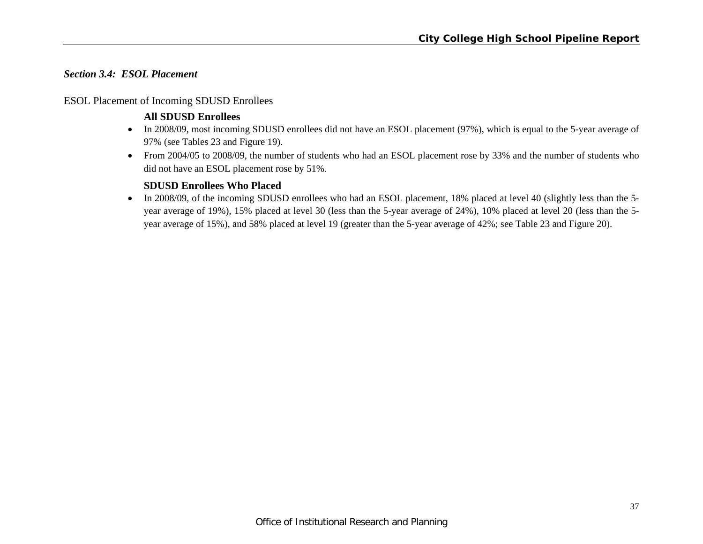# *Section 3.4: ESOL Placement*

# ESOL Placement of Incoming SDUSD Enrollees

# **All SDUSD Enrollees**

- In 2008/09, most incoming SDUSD enrollees did not have an ESOL placement (97%), which is equal to the 5-year average of 97% (see Tables 23 and Figure 19).
- From 2004/05 to 2008/09, the number of students who had an ESOL placement rose by 33% and the number of students who did not have an ESOL placement rose by 51%.

# **SDUSD Enrollees Who Placed**

In 2008/09, of the incoming SDUSD enrollees who had an ESOL placement, 18% placed at level 40 (slightly less than the 5year average of 19%), 15% placed at level 30 (less than the 5-year average of 24%), 10% placed at level 20 (less than the 5 year average of 15%), and 58% placed at level 19 (greater than the 5-year average of 42%; see Table 23 and Figure 20).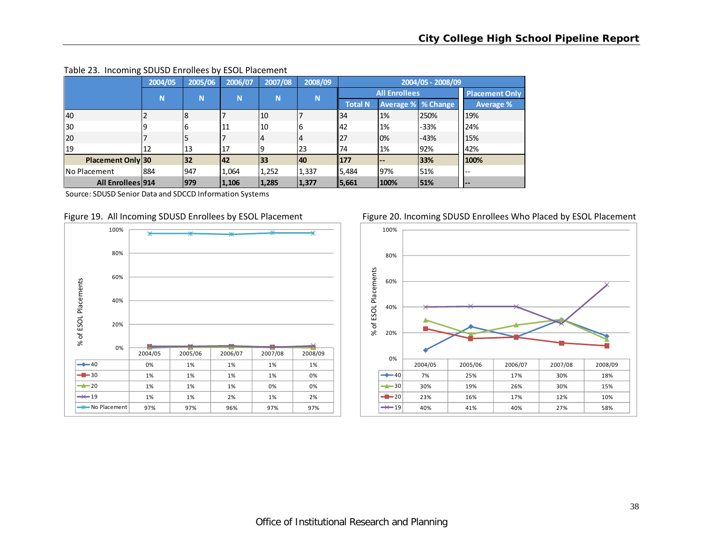|                          | 2004/05 | 2005/06 | 2006/07 | 2007/08          | 2008/09  | 2004/05 - 2008/09    |       |                           |                       |  |
|--------------------------|---------|---------|---------|------------------|----------|----------------------|-------|---------------------------|-----------------------|--|
|                          | N       |         |         | N<br>N<br>N<br>N |          | <b>All Enrollees</b> |       |                           | <b>Placement Only</b> |  |
|                          |         |         |         |                  |          | <b>Total N</b>       |       | <b>Average % % Change</b> | Average %             |  |
| 40                       |         |         |         | 110              |          | 34                   | 1%    | 250%                      | 19%                   |  |
| 30                       |         | 6       | 11      | 10               | <b>6</b> | 142                  | 1%    | -33%                      | 24%                   |  |
| 20                       |         |         |         | 4                | 4        | 27                   | 0%    | $-43%$                    | 15%                   |  |
| 19                       | 12      | 13      | .17     | 19               | 23       | 74                   | 1%    | 92%                       | 42%                   |  |
| <b>Placement Only 30</b> |         | 32      | 142     | 33               | 140      | 177                  | $- -$ | 33%                       | 100%                  |  |
| <b>I</b> No Placement    | 884     | 947     | 1,064   | 1,252            | 1,337    | 5,484                | 97%   | 51%                       | --                    |  |
| <b>All Enrollees 914</b> |         | 979     | 1,106   | 1,285            | 1,377    | 5,661                | 100%  | 51%                       | <b>.</b>              |  |

#### Table 23. Incoming SDUSD Enrollees by ESOL Placement

Source: SDUSD Senior Data and SDCCD Information Systems





# Figure 19. All Incoming SDUSD Enrollees by ESOL Placement Figure 20. Incoming SDUSD Enrollees Who Placed by ESOL Placement

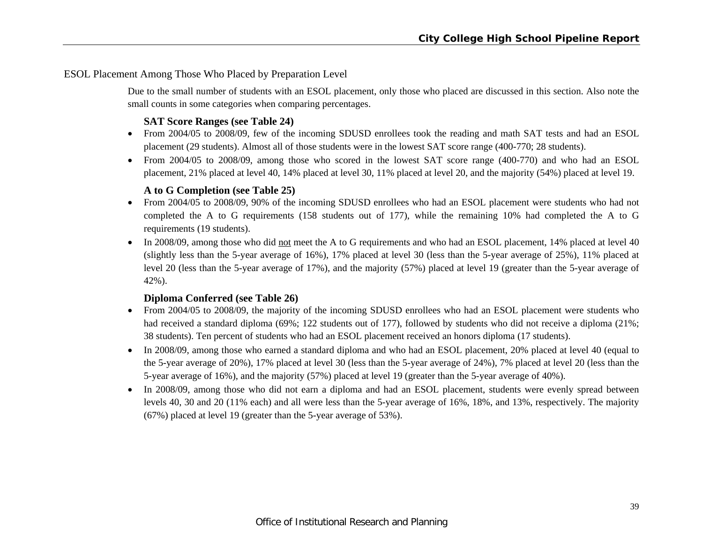# ESOL Placement Among Those Who Placed by Preparation Level

Due to the small number of students with an ESOL placement, only those who placed are discussed in this section. Also note the small counts in some categories when comparing percentages.

# **SAT Score Ranges (see Table 24)**

- From 2004/05 to 2008/09, few of the incoming SDUSD enrollees took the reading and math SAT tests and had an ESOL placement (29 students). Almost all of those students were in the lowest SAT score range (400-770; 28 students).
- From 2004/05 to 2008/09, among those who scored in the lowest SAT score range (400-770) and who had an ESOL placement, 21% placed at level 40, 14% placed at level 30, 11% placed at level 20, and the majority (54%) placed at level 19.

# **A to G Completion (see Table 25)**

- From 2004/05 to 2008/09, 90% of the incoming SDUSD enrollees who had an ESOL placement were students who had not completed the A to G requirements (158 students out of 177), while the remaining 10% had completed the A to G requirements (19 students).
- In 2008/09, among those who did not meet the A to G requirements and who had an ESOL placement, 14% placed at level 40 (slightly less than the 5-year average of 16%), 17% placed at level 30 (less than the 5-year average of 25%), 11% placed at level 20 (less than the 5-year average of 17%), and the majority (57%) placed at level 19 (greater than the 5-year average of 42%).

# **Diploma Conferred (see Table 26)**

- From 2004/05 to 2008/09, the majority of the incoming SDUSD enrollees who had an ESOL placement were students who had received a standard diploma (69%; 122 students out of 177), followed by students who did not receive a diploma (21%; 38 students). Ten percent of students who had an ESOL placement received an honors diploma (17 students).
- In 2008/09, among those who earned a standard diploma and who had an ESOL placement, 20% placed at level 40 (equal to the 5-year average of 20%), 17% placed at level 30 (less than the 5-year average of 24%), 7% placed at level 20 (less than the 5-year average of 16%), and the majority (57%) placed at level 19 (greater than the 5-year average of 40%).
- In 2008/09, among those who did not earn a diploma and had an ESOL placement, students were evenly spread between levels 40, 30 and 20 (11% each) and all were less than the 5-year average of 16%, 18%, and 13%, respectively. The majority (67%) placed at level 19 (greater than the 5-year average of 53%).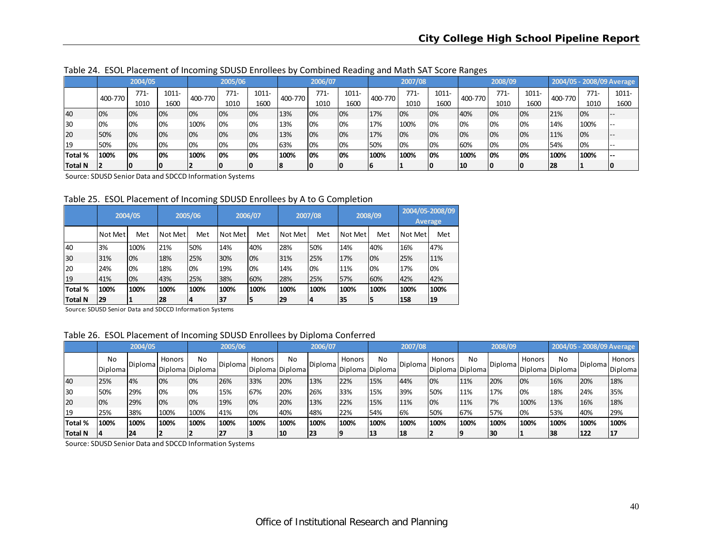|                |         | 2004/05 |       |         | 2005/06 |          |         | 2006/07 |       | ັ       | 2007/08 |       |         | 2008/09 |       |         |        | 2004/05 - 2008/09 Average |
|----------------|---------|---------|-------|---------|---------|----------|---------|---------|-------|---------|---------|-------|---------|---------|-------|---------|--------|---------------------------|
|                | 400-770 | $771-$  | 1011- | 400-770 | $771 -$ | $1011 -$ | 400-770 | $771-$  | 1011- | 400-770 | $771-$  | 1011- | 400-770 | $771-$  | 1011- | 400-770 | $771-$ | 1011-                     |
|                |         | 1010    | 1600  |         | 1010    | 1600     |         | 1010    | 1600  |         | 1010    | 1600  |         | 1010    | 1600  |         | 1010   | 1600                      |
| 40             | 0%      | 10%     | 10%   | 0%      | 0%      | 0%       | 13%     | 10%     | 0%    | 17%     | 0%      | 0%    | 40%     | 0%      | 0%    | 21%     | 0%     |                           |
| 130            | 0%      | 10%     | 10%   | 100%    | 0%      | 0%       | 13%     | 0%      | 0%    | 17%     | 100%    | 0%    | 0%      | 0%      | 0%    | 14%     | 100%   |                           |
| 20             | 50%     | 10%     | 10%   | 0%      | 10%     | 10%      | 13%     | 10%     | 0%    | 17%     | 0%      | 0%    | 0%      | 0%      | 0%    | 11%     | 10%    |                           |
| l 19           | 50%     | 10%     | 0%    | 0%      | 0%      | 0%       | 63%     | 10%     | 0%    | 50%     | 0%      | 0%    | 60%     | 0%      | 0%    | 154%    | 0%     |                           |
| <b>Total %</b> | 100%    | 10%     | 10%   | 100%    | 10%     | 10%      | 100%    | 10%     | 0%    | 100%    | 100%    | 0%    | 100%    | 0%      | 0%    | 100%    | 100%   |                           |
| <b>Total N</b> |         | 10      | 10    |         |         |          | 18      | 10      | 10    |         |         |       | 10      |         | 10    | 28      |        |                           |

Table 24. ESOL Placement of Incoming SDUSD Enrollees by Combined Reading and Math SAT Score Ranges

Source: SDUSD Senior Data and SDCCD Information Systems

Table 25. ESOL Placement of Incoming SDUSD Enrollees by A to G Completion

|                | 2004/05 |      | 2005/06 |      |         | 2006/07 |         | 2007/08 |           | 2008/09 |         | 2004/05-2008/09<br><b>Average</b> |  |
|----------------|---------|------|---------|------|---------|---------|---------|---------|-----------|---------|---------|-----------------------------------|--|
|                | Not Met | Met  | Not Met | Met  | Not Met | Met     | Not Met | Met     | Not Met l | Met     | Not Met | Met                               |  |
| 40             | 3%      | 100% | 21%     | 50%  | 14%     | 40%     | 28%     | 50%     | 14%       | 40%     | 16%     | 47%                               |  |
| 30             | 31%     | 0%   | 18%     | 25%  | 30%     | 0%      | 31%     | 25%     | 17%       | 0%      | 25%     | 11%                               |  |
| 20             | 24%     | 0%   | 18%     | 0%   | 19%     | 0%      | 14%     | 0%      | 11%       | 0%      | 17%     | 0%                                |  |
| 19             | 41%     | 0%   | 43%     | 25%  | 38%     | 60%     | 28%     | 25%     | 57%       | 60%     | 42%     | 42%                               |  |
| Total %        | 100%    | 100% | 100%    | 100% | 100%    | 100%    | 100%    | 100%    | 100%      | 100%    | 100%    | 100%                              |  |
| <b>Total N</b> | 29      |      | 28      | 14   | 37      | 5       | 29      | 14      | 35        | 15      | 158     | 19                                |  |

Source: SDUSD Senior Data and SDCCD Information Systems

#### Table 26. ESOL Placement of Incoming SDUSD Enrollees by Diploma Conferred

|                |                      | 2004/05 |        |                             | 2005/06           |        |                       | 2006/07          |               |                           | 2007/08          |        |                       | 2008/09        |        |                       | 2004/05 - 2008/09 Average |                   |
|----------------|----------------------|---------|--------|-----------------------------|-------------------|--------|-----------------------|------------------|---------------|---------------------------|------------------|--------|-----------------------|----------------|--------|-----------------------|---------------------------|-------------------|
|                | <b>No</b><br>Diploma | Diploma | Honors | No<br>l Diploma l Diploma l | <b>I</b> Diplomal | Honors | No<br>Diploma Diploma | <b>IDiplomal</b> | <b>Honors</b> | No<br>  Diploma   Diploma | <b>IDiplomal</b> | Honors | No<br>Diploma Diploma | <b>Diploma</b> | Honors | No<br>Diploma Diploma | Diploma                   | Honors<br>Diploma |
| 40             | 25%                  | 4%      | 10%    | 0%                          | 26%               | 33%    | 20%                   | 13%              | 22%           | 15%                       | 44%              | 0%     | 11%                   | 20%            | 0%     | 16%                   | 20%                       | 18%               |
| 130            | 50%                  | 29%     | 10%    | 10%                         | 15%               | 67%    | 20%                   | 26%              | 33%           | 15%                       | 39%              | 50%    | 11%                   | 17%            | 0%     | 18%                   | 24%                       | 35%               |
| <b>20</b>      | 0%                   | 29%     | 10%    | 0%                          | 19%               | 0%     | 20%                   | 13%              | 22%           | 15%                       | 11%              | 0%     | 11%                   | 7%             | 100%   | 13%                   | 16%                       | 18%               |
| 119            | 25%                  | 38%     | 100%   | 100%                        | 41%               | 10%    | 40%                   | 48%              | 22%           | <b>54%</b>                | 6%               | 50%    | 67%                   | 57%            | 0%     | 53%                   | 40%                       | 29%               |
| <b>Total %</b> | 100%                 | 100%    | 100%   | 100%                        | 100%              | 100%   | 100%                  | 100%             | 100%          | 100%                      | 100%             | 100%   | 100%                  | 100%           | 100%   | 100%                  | 100%                      | 100%              |
| <b>Total N</b> |                      | 24      |        |                             | 27                | 13     | 10                    | 23               |               | 13                        | 18               |        |                       | 130            |        | 138                   | 122                       | 117               |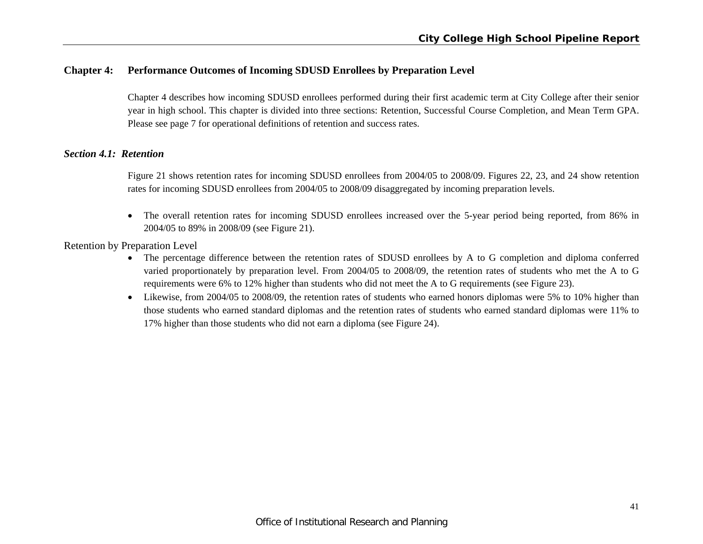# **Chapter 4: Performance Outcomes of Incoming SDUSD Enrollees by Preparation Level**

Chapter 4 describes how incoming SDUSD enrollees performed during their first academic term at City College after their senior year in high school. This chapter is divided into three sections: Retention, Successful Course Completion, and Mean Term GPA. Please see page 7 for operational definitions of retention and success rates.

## *Section 4.1: Retention*

Figure 21 shows retention rates for incoming SDUSD enrollees from 2004/05 to 2008/09. Figures 22, 23, and 24 show retention rates for incoming SDUSD enrollees from 2004/05 to 2008/09 disaggregated by incoming preparation levels.

 $\bullet$  The overall retention rates for incoming SDUSD enrollees increased over the 5-year period being reported, from 86% in 2004/05 to 89% in 2008/09 (see Figure 21).

Retention by Preparation Level

- The percentage difference between the retention rates of SDUSD enrollees by A to G completion and diploma conferred varied proportionately by preparation level. From 2004/05 to 2008/09, the retention rates of students who met the A to G requirements were 6% to 12% higher than students who did not meet the A to G requirements (see Figure 23).
- Likewise, from 2004/05 to 2008/09, the retention rates of students who earned honors diplomas were 5% to 10% higher than those students who earned standard diplomas and the retention rates of students who earned standard diplomas were 11% to 17% higher than those students who did not earn a diploma (see Figure 24).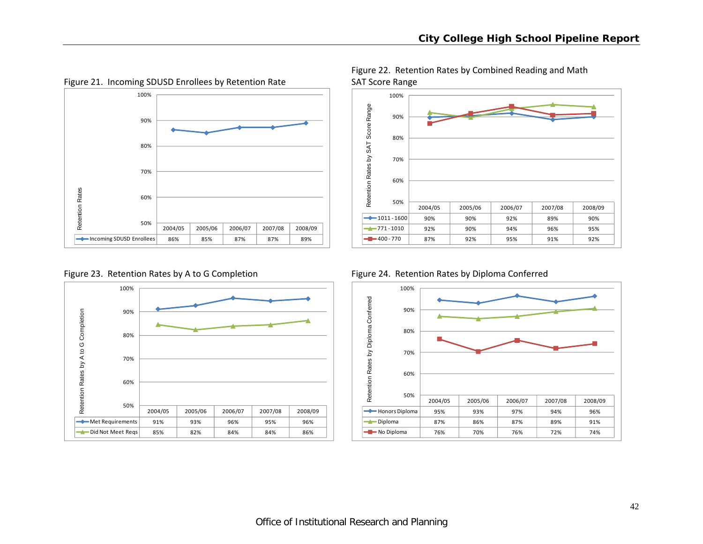

Figure 21. Incoming SDUSD Enrollees by Retention Rate SAT Score Range

Figure 22. Retention Rates by Combined Reading and Math





Figure 23. Retention Rates by A to G Completion Figure 24. Retention Rates by Diploma Conferred

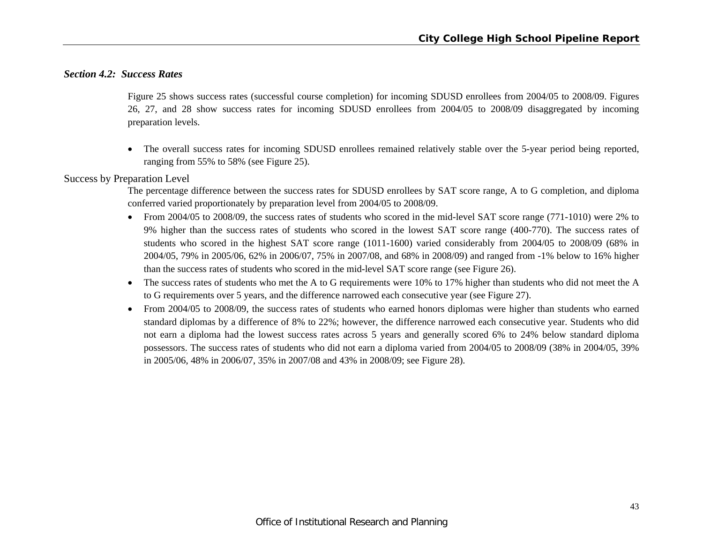# *Section 4.2: Success Rates*

Figure 25 shows success rates (successful course completion) for incoming SDUSD enrollees from 2004/05 to 2008/09. Figures 26, 27, and 28 show success rates for incoming SDUSD enrollees from 2004/05 to 2008/09 disaggregated by incoming preparation levels.

 The overall success rates for incoming SDUSD enrollees remained relatively stable over the 5-year period being reported, ranging from 55% to 58% (see Figure 25).

#### Success by Preparation Level

The percentage difference between the success rates for SDUSD enrollees by SAT score range, A to G completion, and diploma conferred varied proportionately by preparation level from 2004/05 to 2008/09.

- From 2004/05 to 2008/09, the success rates of students who scored in the mid-level SAT score range (771-1010) were 2% to 9% higher than the success rates of students who scored in the lowest SAT score range (400-770). The success rates of students who scored in the highest SAT score range (1011-1600) varied considerably from 2004/05 to 2008/09 (68% in 2004/05, 79% in 2005/06, 62% in 2006/07, 75% in 2007/08, and 68% in 2008/09) and ranged from -1% below to 16% higher than the success rates of students who scored in the mid-level SAT score range (see Figure 26).
- $\bullet$  The success rates of students who met the A to G requirements were 10% to 17% higher than students who did not meet the A to G requirements over 5 years, and the difference narrowed each consecutive year (see Figure 27).
- $\bullet$  From 2004/05 to 2008/09, the success rates of students who earned honors diplomas were higher than students who earned standard diplomas by a difference of 8% to 22%; however, the difference narrowed each consecutive year. Students who did not earn a diploma had the lowest success rates across 5 years and generally scored 6% to 24% below standard diploma possessors. The success rates of students who did not earn a diploma varied from 2004/05 to 2008/09 (38% in 2004/05, 39% in 2005/06, 48% in 2006/07, 35% in 2007/08 and 43% in 2008/09; see Figure 28).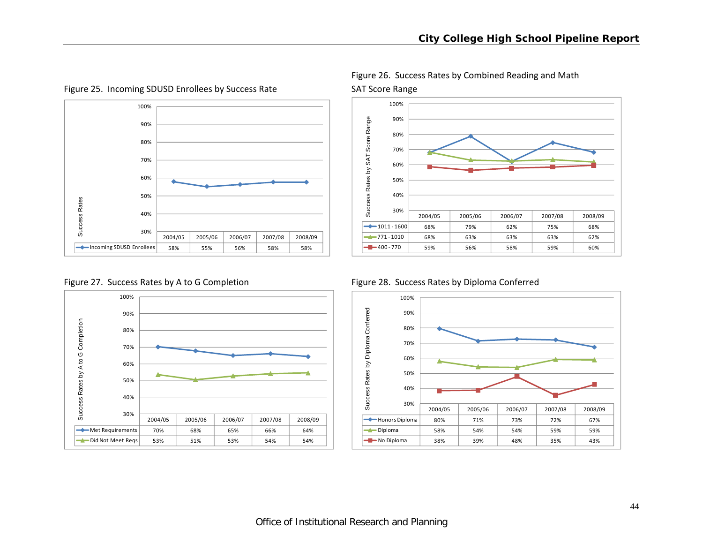

Figure 25. Incoming SDUSD Enrollees by Success Rate SAT Score Range





Figure 26. Success Rates by Combined Reading and Math

Figure 27. Success Rates by A to G Completion Figure 28. Success Rates by Diploma Conferred

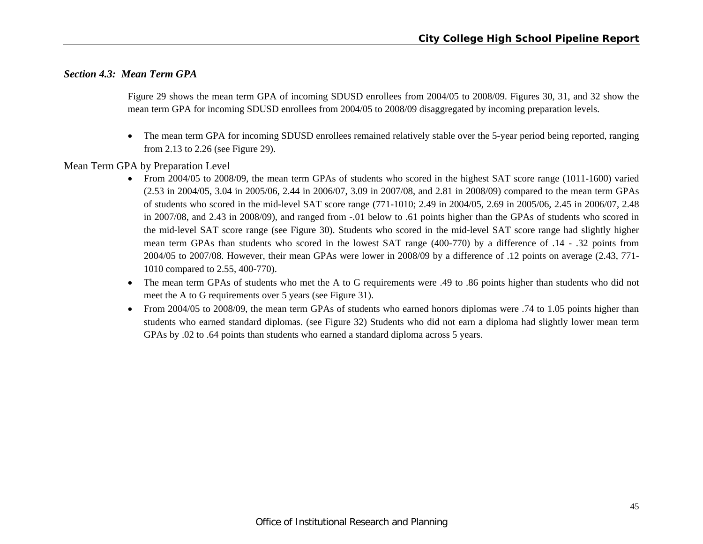# *Section 4.3: Mean Term GPA*

Figure 29 shows the mean term GPA of incoming SDUSD enrollees from 2004/05 to 2008/09. Figures 30, 31, and 32 show the mean term GPA for incoming SDUSD enrollees from 2004/05 to 2008/09 disaggregated by incoming preparation levels.

 $\bullet$  The mean term GPA for incoming SDUSD enrollees remained relatively stable over the 5-year period being reported, ranging from 2.13 to 2.26 (see Figure 29).

Mean Term GPA by Preparation Level

- From 2004/05 to 2008/09, the mean term GPAs of students who scored in the highest SAT score range (1011-1600) varied (2.53 in 2004/05, 3.04 in 2005/06, 2.44 in 2006/07, 3.09 in 2007/08, and 2.81 in 2008/09) compared to the mean term GPAs of students who scored in the mid-level SAT score range (771-1010; 2.49 in 2004/05, 2.69 in 2005/06, 2.45 in 2006/07, 2.48 in 2007/08, and 2.43 in 2008/09), and ranged from -.01 below to .61 points higher than the GPAs of students who scored in the mid-level SAT score range (see Figure 30). Students who scored in the mid-level SAT score range had slightly higher mean term GPAs than students who scored in the lowest SAT range (400-770) by a difference of .14 - .32 points from 2004/05 to 2007/08. However, their mean GPAs were lower in 2008/09 by a difference of .12 points on average (2.43, 771- 1010 compared to 2.55, 400-770).
- $\bullet$  The mean term GPAs of students who met the A to G requirements were .49 to .86 points higher than students who did not meet the A to G requirements over 5 years (see Figure 31).
- $\bullet$  From 2004/05 to 2008/09, the mean term GPAs of students who earned honors diplomas were .74 to 1.05 points higher than students who earned standard diplomas. (see Figure 32) Students who did not earn a diploma had slightly lower mean term GPAs by .02 to .64 points than students who earned a standard diploma across 5 years.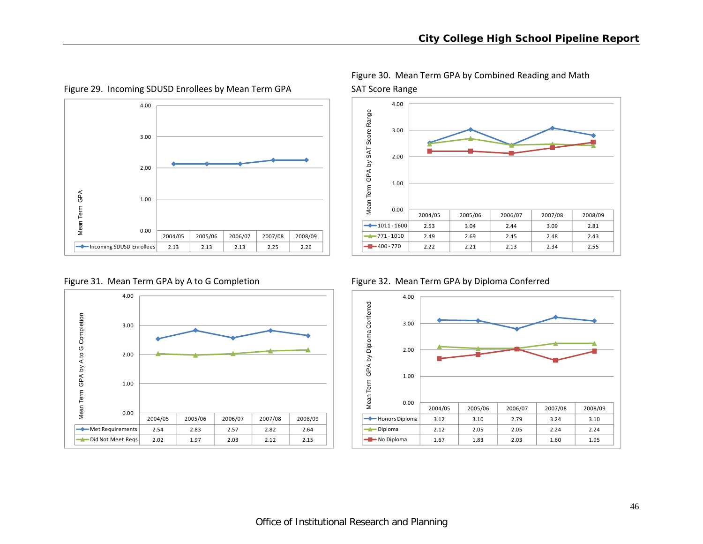

Figure 29. Incoming SDUSD Enrollees by Mean Term GPA SAT Score Range







Figure 30. Mean Term GPA by Combined Reading and Math



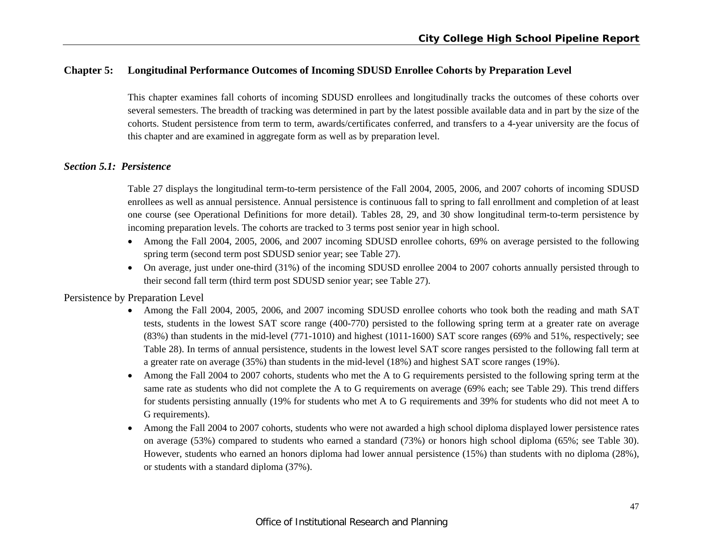# **Chapter 5: Longitudinal Performance Outcomes of Incoming SDUSD Enrollee Cohorts by Preparation Level**

This chapter examines fall cohorts of incoming SDUSD enrollees and longitudinally tracks the outcomes of these cohorts over several semesters. The breadth of tracking was determined in part by the latest possible available data and in part by the size of the cohorts. Student persistence from term to term, awards/certificates conferred, and transfers to a 4-year university are the focus of this chapter and are examined in aggregate form as well as by preparation level.

#### *Section 5.1: Persistence*

Table 27 displays the longitudinal term-to-term persistence of the Fall 2004, 2005, 2006, and 2007 cohorts of incoming SDUSD enrollees as well as annual persistence. Annual persistence is continuous fall to spring to fall enrollment and completion of at least one course (see Operational Definitions for more detail). Tables 28, 29, and 30 show longitudinal term-to-term persistence by incoming preparation levels. The cohorts are tracked to 3 terms post senior year in high school.

- Among the Fall 2004, 2005, 2006, and 2007 incoming SDUSD enrollee cohorts, 69% on average persisted to the following spring term (second term post SDUSD senior year; see Table 27).
- On average, just under one-third (31%) of the incoming SDUSD enrollee 2004 to 2007 cohorts annually persisted through to their second fall term (third term post SDUSD senior year; see Table 27).

Persistence by Preparation Level

- c Among the Fall 2004, 2005, 2006, and 2007 incoming SDUSD enrollee cohorts who took both the reading and math SAT tests, students in the lowest SAT score range (400-770) persisted to the following spring term at a greater rate on average (83%) than students in the mid-level (771-1010) and highest (1011-1600) SAT score ranges (69% and 51%, respectively; see Table 28). In terms of annual persistence, students in the lowest level SAT score ranges persisted to the following fall term at a greater rate on average (35%) than students in the mid-level (18%) and highest SAT score ranges (19%).
- Among the Fall 2004 to 2007 cohorts, students who met the A to G requirements persisted to the following spring term at the same rate as students who did not complete the A to G requirements on average (69% each; see Table 29). This trend differs for students persisting annually (19% for students who met A to G requirements and 39% for students who did not meet A to G requirements).
- c Among the Fall 2004 to 2007 cohorts, students who were not awarded a high school diploma displayed lower persistence rates on average (53%) compared to students who earned a standard (73%) or honors high school diploma (65%; see Table 30). However, students who earned an honors diploma had lower annual persistence (15%) than students with no diploma (28%), or students with a standard diploma (37%).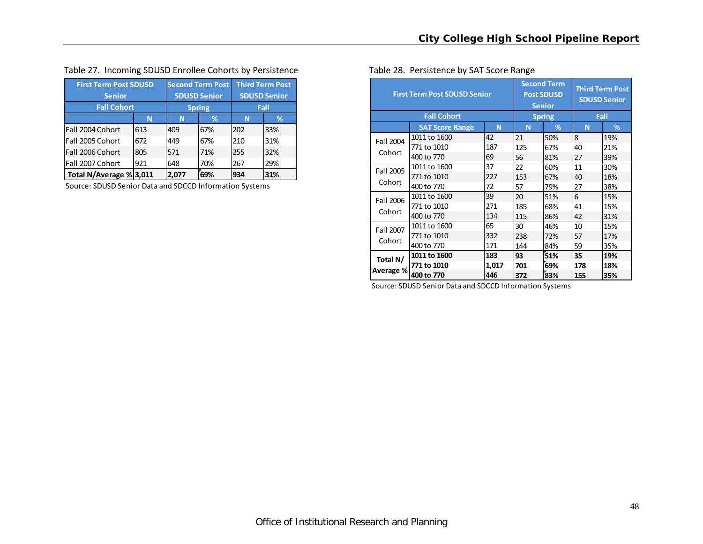| Table 27. Incoming SDUSD Enrollee Cohorts by Persistence | Table 28. Persistence by SAT Score Range |
|----------------------------------------------------------|------------------------------------------|
|----------------------------------------------------------|------------------------------------------|

| <b>First Term Post SDUSD</b> |     | <b>Second Term Post</b> |                     | <b>Third Term Post</b> |     |  |
|------------------------------|-----|-------------------------|---------------------|------------------------|-----|--|
| <b>Senior</b>                |     |                         | <b>SDUSD Senior</b> | <b>SDUSD Senior</b>    |     |  |
| <b>Fall Cohort</b>           |     | <b>Spring</b>           | Fall                |                        |     |  |
|                              | N   | ℅                       | N                   | ℅                      |     |  |
| Fall 2004 Cohort             | 613 | 409                     | 67%                 | 202                    | 33% |  |
| Fall 2005 Cohort             | 672 | 449                     | 67%                 | 210                    | 31% |  |
| Fall 2006 Cohort             | 805 | 571                     | 71%                 | 255                    | 32% |  |
| Fall 2007 Cohort             | 648 | 70%                     | 267                 | 29%                    |     |  |
| Total N/Average % 3,011      |     | 2.077                   | 69%                 | 934                    | 31% |  |

Source: SDUSD Senior Data and SDCCD Information Systems

|  | Fable 28. Persistence by SAT Score Range |  |  |  |
|--|------------------------------------------|--|--|--|
|--|------------------------------------------|--|--|--|

|                       | <b>First Term Post SDUSD Senior</b> | <b>Second Term</b> | <b>Post SDUSD</b><br><b>Senior</b> | <b>Third Term Post</b><br><b>SDUSD Senior</b> |      |     |  |
|-----------------------|-------------------------------------|--------------------|------------------------------------|-----------------------------------------------|------|-----|--|
|                       | <b>Fall Cohort</b>                  |                    |                                    | <b>Spring</b>                                 | Fall |     |  |
|                       | <b>SAT Score Range</b>              | N                  | N                                  | %                                             | N    | %   |  |
| Fall 2004             | 1011 to 1600                        | 42                 | 21                                 | 50%                                           | 8    | 19% |  |
|                       | 771 to 1010                         | 187                | 125                                | 67%                                           | 40   | 21% |  |
| Cohort                | 400 to 770                          | 69                 | 56                                 | 81%                                           | 27   | 39% |  |
| Fall 2005             | 1011 to 1600                        | 37                 | 22                                 | 60%                                           | 11   | 30% |  |
|                       | 771 to 1010                         | 227                | 153                                | 67%                                           | 40   | 18% |  |
| Cohort                | 400 to 770                          | 72                 | 57                                 | 79%                                           | 27   | 38% |  |
| Fall 2006             | 1011 to 1600                        | 39                 | 20                                 | 51%                                           | 6    | 15% |  |
|                       | 771 to 1010                         | 271                | 185                                | 68%                                           | 41   | 15% |  |
| Cohort                | 400 to 770                          | 134                | 115                                | 86%                                           | 42   | 31% |  |
| Fall 2007             | 1011 to 1600                        | 65                 | 30                                 | 46%                                           | 10   | 15% |  |
|                       | 771 to 1010                         | 332                | 238                                | 72%                                           | 57   | 17% |  |
| Cohort                | 400 to 770                          | 171                | 144                                | 84%                                           | 59   | 35% |  |
| Total N/<br>Average % | 1011 to 1600                        | 183                | 93                                 | 51%                                           | 35   | 19% |  |
|                       | 771 to 1010                         | 1,017              | 701                                | 69%                                           | 178  | 18% |  |
|                       | 400 to 770                          | 446                | 372                                | 83%                                           | 155  | 35% |  |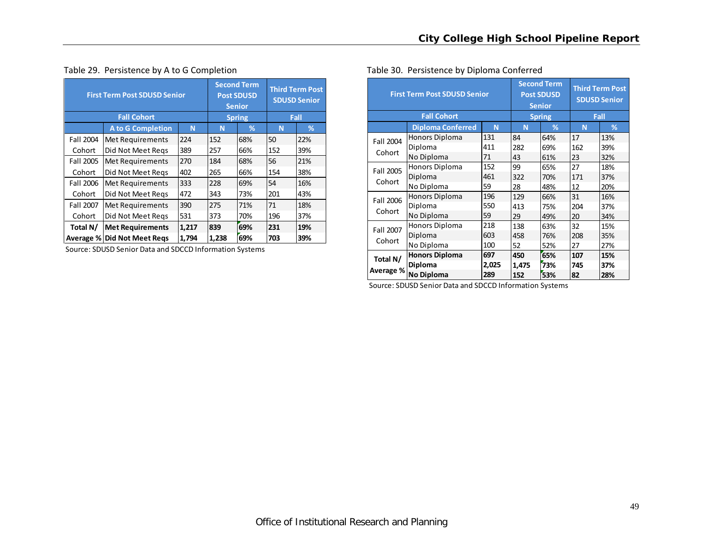|           | <b>First Term Post SDUSD Senior</b><br><b>Fall Cohort</b> |               |       |     | <b>Third Term Post</b><br><b>SDUSD Senior</b> |     |  |
|-----------|-----------------------------------------------------------|---------------|-------|-----|-----------------------------------------------|-----|--|
|           |                                                           | <b>Spring</b> | Fall  |     |                                               |     |  |
|           | N                                                         | %             | N     | %   |                                               |     |  |
| Fall 2004 | Met Requirements                                          | 224           | 152   | 68% | 50                                            | 22% |  |
| Cohort    | Did Not Meet Regs                                         | 389           | 257   | 66% | 152                                           | 39% |  |
| Fall 2005 | Met Requirements                                          | 270           | 184   | 68% | 56                                            | 21% |  |
| Cohort    | Did Not Meet Regs                                         | 402           | 265   | 66% | 154                                           | 38% |  |
| Fall 2006 | Met Requirements                                          | 333           | 228   | 69% | 54                                            | 16% |  |
| Cohort    | Did Not Meet Regs                                         | 472           | 343   | 73% | 201                                           | 43% |  |
| Fall 2007 | Met Requirements                                          | 390           | 275   | 71% | 71                                            | 18% |  |
| Cohort    | Did Not Meet Regs                                         | 531           | 373   | 70% | 196                                           | 37% |  |
| Total N/  | 1,217                                                     | 839           | 69%   | 231 | 19%                                           |     |  |
| Average % | <b>Did Not Meet Regs</b>                                  | 1,794         | 1,238 | 69% | 703                                           | 39% |  |

# Table 29. Persistence by A to G Completion

Source: SDUSD Senior Data and SDCCD Information Systems

|           | <b>First Term Post SDUSD Senior</b> |       | <b>Second Term</b> | <b>Post SDUSD</b><br><b>Senior</b> | <b>Third Term Post</b><br><b>SDUSD Senior</b> |     |  |
|-----------|-------------------------------------|-------|--------------------|------------------------------------|-----------------------------------------------|-----|--|
|           | <b>Fall Cohort</b>                  |       |                    | <b>Spring</b>                      | Fall                                          |     |  |
|           | <b>Diploma Conferred</b>            | N     | N                  | %                                  | N                                             | %   |  |
| Fall 2004 | Honors Diploma                      | 131   | 84                 | 64%                                | 17                                            | 13% |  |
| Cohort    | Diploma                             | 411   | 282                | 69%                                | 162                                           | 39% |  |
|           | No Diploma                          | 71    | 43                 | 61%                                | 23                                            | 32% |  |
| Fall 2005 | Honors Diploma                      | 152   | 99                 | 65%                                | 27                                            | 18% |  |
|           | Diploma                             | 461   | 322                | 70%                                | 171                                           | 37% |  |
| Cohort    | No Diploma                          | 59    | 28                 | 48%                                | 12                                            | 20% |  |
| Fall 2006 | <b>Honors Diploma</b>               | 196   | 129                | 66%                                | 31                                            | 16% |  |
|           | Diploma                             | 550   | 413                | 75%                                | 204                                           | 37% |  |
| Cohort    | No Diploma                          | 59    | 29                 | 49%                                | 20                                            | 34% |  |
| Fall 2007 | Honors Diploma                      | 218   | 138                | 63%                                | 32                                            | 15% |  |
|           | Diploma                             | 603   | 458                | 76%                                | 208                                           | 35% |  |
| Cohort    | No Diploma                          | 100   | 52                 | 52%                                | 27                                            | 27% |  |
| Total N/  | <b>Honors Diploma</b>               | 697   | 450                | 65%                                | 107                                           | 15% |  |
|           | Diploma                             | 2,025 | 1,475              | 73%                                | 745                                           | 37% |  |
| Average % | No Diploma                          | 289   | 152                | 53%                                | 82                                            | 28% |  |

#### Table 30. Persistence by Diploma Conferred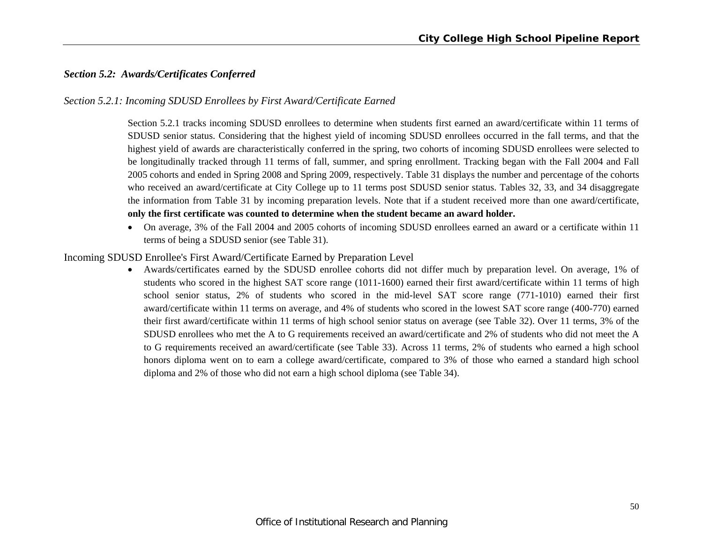# *Section 5.2: Awards/Certificates Conferred*

## *Section 5.2.1: Incoming SDUSD Enrollees by First Award/Certificate Earned*

Section 5.2.1 tracks incoming SDUSD enrollees to determine when students first earned an award/certificate within 11 terms of SDUSD senior status. Considering that the highest yield of incoming SDUSD enrollees occurred in the fall terms, and that the highest yield of awards are characteristically conferred in the spring, two cohorts of incoming SDUSD enrollees were selected to be longitudinally tracked through 11 terms of fall, summer, and spring enrollment. Tracking began with the Fall 2004 and Fall 2005 cohorts and ended in Spring 2008 and Spring 2009, respectively. Table 31 displays the number and percentage of the cohorts who received an award/certificate at City College up to 11 terms post SDUSD senior status. Tables 32, 33, and 34 disaggregate the information from Table 31 by incoming preparation levels. Note that if a student received more than one award/certificate, **only the first certificate was counted to determine when the student became an award holder.**

 On average, 3% of the Fall 2004 and 2005 cohorts of incoming SDUSD enrollees earned an award or a certificate within 11 terms of being a SDUSD senior (see Table 31).

#### Incoming SDUSD Enrollee's First Award/Certificate Earned by Preparation Level

 Awards/certificates earned by the SDUSD enrollee cohorts did not differ much by preparation level. On average, 1% of students who scored in the highest SAT score range (1011-1600) earned their first award/certificate within 11 terms of high school senior status, 2% of students who scored in the mid-level SAT score range (771-1010) earned their first award/certificate within 11 terms on average, and 4% of students who scored in the lowest SAT score range (400-770) earned their first award/certificate within 11 terms of high school senior status on average (see Table 32). Over 11 terms, 3% of the SDUSD enrollees who met the A to G requirements received an award/certificate and 2% of students who did not meet the A to G requirements received an award/certificate (see Table 33). Across 11 terms, 2% of students who earned a high school honors diploma went on to earn a college award/certificate, compared to 3% of those who earned a standard high school diploma and 2% of those who did not earn a high school diploma (see Table 34).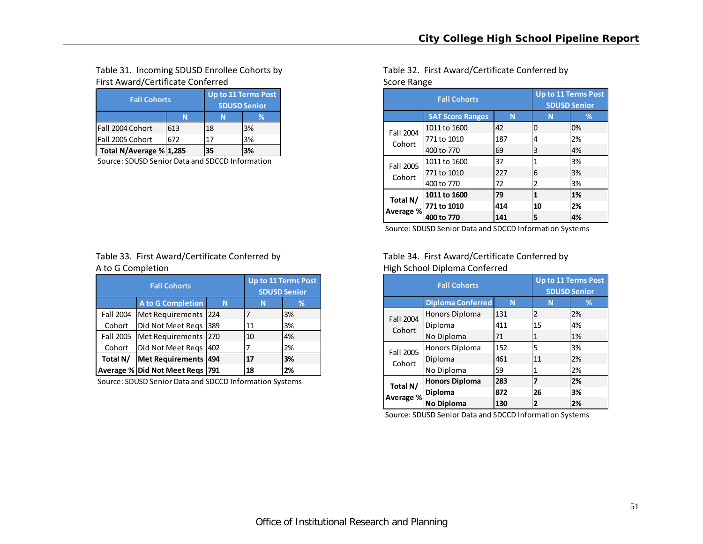# Table 31. Incoming SDUSD Enrollee Cohorts by First Award/Certificate Conferred **Score Range Score Range** Score Range

| <b>Fall Cohorts</b>     | Up to 11 Terms Post<br><b>SDUSD Senior</b> |    |    |  |  |
|-------------------------|--------------------------------------------|----|----|--|--|
|                         |                                            | %  |    |  |  |
| lFall 2004 Cohort       | 613                                        | 18 | 3% |  |  |
| Fall 2005 Cohort        | 672                                        | 17 | 3% |  |  |
| Total N/Average % 1,285 | 35                                         | 3% |    |  |  |

Source: SDUSD Senior Data and SDCCD Information

# Table 33. First Award/Certificate Conferred by A to G

|           | <b>Fall Cohorts</b>             | <b>Up to 11 Terms Post</b><br><b>SDUSD Senior</b> |    |    |  |  |
|-----------|---------------------------------|---------------------------------------------------|----|----|--|--|
|           | <b>A to G Completion</b>        | N                                                 | N  | %  |  |  |
| Fall 2004 | Met Requirements                | 224                                               | 7  | 3% |  |  |
| Cohort    | Did Not Meet Regs               | 389                                               | 11 | 3% |  |  |
| Fall 2005 | Met Requirements                | 270                                               | 10 | 4% |  |  |
| Cohort    | Did Not Meet Regs               | 402                                               |    | 2% |  |  |
| Total N/  | <b>Met Requirements</b>         | 494                                               | 17 | 3% |  |  |
|           | Average % Did Not Meet Reqs 791 |                                                   | 18 | 2% |  |  |

Source: SDUSD Senior Data and SDCCD Information Systems

Table 32. First Award/Certificate Conferred by

|           | <b>Fall Cohorts</b>     | <b>Up to 11 Terms Post</b><br><b>SDUSD Senior</b> |              |    |
|-----------|-------------------------|---------------------------------------------------|--------------|----|
|           | <b>SAT Score Ranges</b> | N                                                 | N            | ℅  |
| Fall 2004 | 1011 to 1600            | 42                                                | $\Omega$     | 0% |
| Cohort    | 771 to 1010             | 187                                               | 4            | 2% |
|           | 400 to 770              | 69                                                | 3            | 4% |
| Fall 2005 | 1011 to 1600            | 37                                                | 1            | 3% |
| Cohort    | 771 to 1010             | 227                                               | 6            | 3% |
|           | 400 to 770              | 72                                                | 2            | 3% |
| Total N/  | 1011 to 1600            | 79                                                | $\mathbf{1}$ | 1% |
| Average % | 771 to 1010             | 414                                               | 10           | 2% |
|           | 400 to 770              | 141                                               | 5            | 4% |

Source: SDUSD Senior Data and SDCCD Information Systems

# Table 34. First Award/Certificate Conferred by High School Diploma Conferred

|           | <b>Fall Cohorts</b>      | Up to 11 Terms Post<br><b>SDUSD Senior</b> |                |    |
|-----------|--------------------------|--------------------------------------------|----------------|----|
|           | <b>Diploma Conferred</b> | N                                          | N              | %  |
| Fall 2004 | Honors Diploma           | 131                                        | $\overline{2}$ | 2% |
| Cohort    | Diploma                  | 411                                        | 15             | 4% |
|           | No Diploma               | 71                                         | 1              | 1% |
| Fall 2005 | Honors Diploma           | 152                                        | 5              | 3% |
| Cohort    | Diploma                  | 461                                        | 11             | 2% |
|           | No Diploma               | 59                                         | 1              | 2% |
| Total N/  | <b>Honors Diploma</b>    | 283                                        | 7              | 2% |
|           | Diploma                  | 872                                        | 26             | 3% |
| Average % | <b>No Diploma</b>        | 130                                        | 2              | 2% |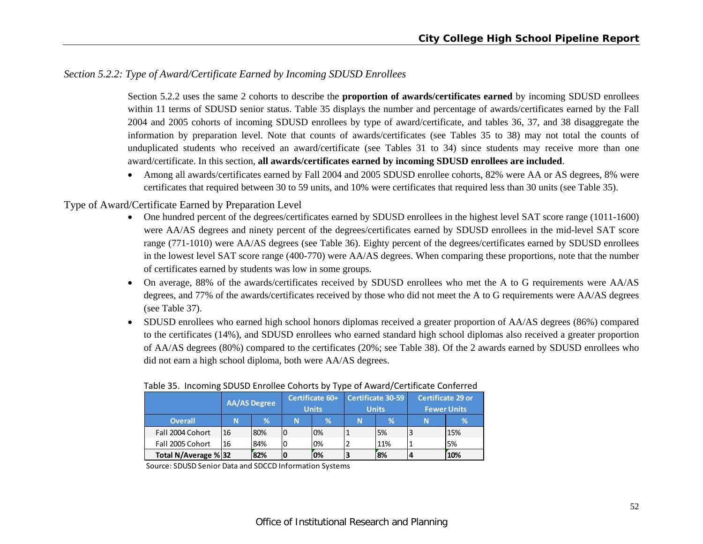# *Section 5.2.2: Type of Award/Certificate Earned by Incoming SDUSD Enrollees*

Section 5.2.2 uses the same 2 cohorts to describe the **proportion of awards/certificates earned** by incoming SDUSD enrollees within 11 terms of SDUSD senior status. Table 35 displays the number and percentage of awards/certificates earned by the Fall 2004 and 2005 cohorts of incoming SDUSD enrollees by type of award/certificate, and tables 36, 37, and 38 disaggregate the information by preparation level. Note that counts of awards/certificates (see Tables 35 to 38) may not total the counts of unduplicated students who received an award/certificate (see Tables 31 to 34) since students may receive more than one award/certificate. In this section, **all awards/certificates earned by incoming SDUSD enrollees are included**.

 Among all awards/certificates earned by Fall 2004 and 2005 SDUSD enrollee cohorts, 82% were AA or AS degrees, 8% were certificates that required between 30 to 59 units, and 10% were certificates that required less than 30 units (see Table 35).

## Type of Award/Certificate Earned by Preparation Level

- One hundred percent of the degrees/certificates earned by SDUSD enrollees in the highest level SAT score range (1011-1600) were AA/AS degrees and ninety percent of the degrees/certificates earned by SDUSD enrollees in the mid-level SAT score range (771-1010) were AA/AS degrees (see Table 36). Eighty percent of the degrees/certificates earned by SDUSD enrollees in the lowest level SAT score range (400-770) were AA/AS degrees. When comparing these proportions, note that the number of certificates earned by students was low in some groups.
- On average, 88% of the awards/certificates received by SDUSD enrollees who met the A to G requirements were AA/AS degrees, and 77% of the awards/certificates received by those who did not meet the A to G requirements were AA/AS degrees (see Table 37).
- SDUSD enrollees who earned high school honors diplomas received a greater proportion of AA/AS degrees (86%) compared to the certificates (14%), and SDUSD enrollees who earned standard high school diplomas also received a greater proportion of AA/AS degrees (80%) compared to the certificates (20%; see Table 38). Of the 2 awards earned by SDUSD enrollees who did not earn a high school diploma, both were AA/AS degrees.

|                     | <b>AA/AS Degree</b> |     | Certificate 60+<br><b>Units</b> |    | Certificate 30-59<br><b>Units</b> |     | Certificate 29 or<br><b>Fewer Units</b> |     |
|---------------------|---------------------|-----|---------------------------------|----|-----------------------------------|-----|-----------------------------------------|-----|
| <b>Overall</b>      | N                   | %   | N                               | V. | N                                 | %   | N                                       | 70  |
| Fall 2004 Cohort    | 16                  | 80% |                                 | 0% |                                   | 5%  |                                         | 15% |
| Fall 2005 Cohort    | 16                  | 84% |                                 | 0% |                                   | 11% |                                         | 5%  |
| Total N/Average %32 |                     | 82% |                                 | 0% |                                   | 8%  |                                         | 10% |

#### Table 35. Incoming SDUSD Enrollee Cohorts by Type of Award/Certificate Conferred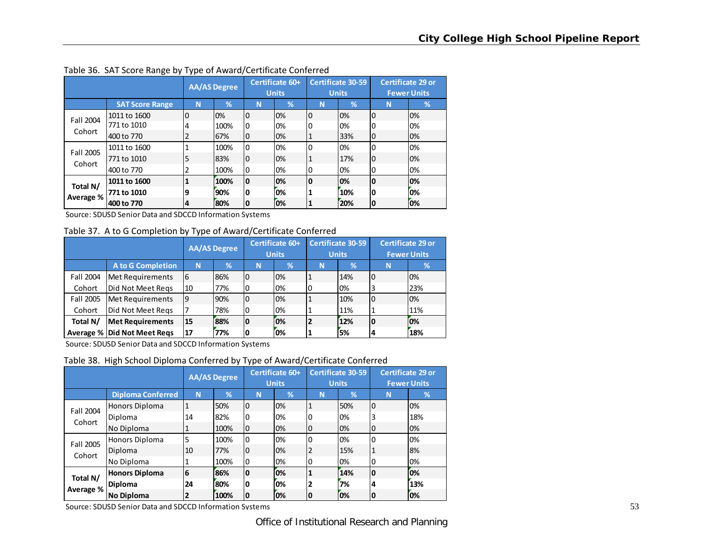|                       |                                           | ,,,<br><b>AA/AS Degree</b> |                     | Certificate 60+<br><b>Units</b> |                | <b>Certificate 30-59</b><br><b>Units</b> |                   | <b>Certificate 29 or</b><br><b>Fewer Units</b> |                 |
|-----------------------|-------------------------------------------|----------------------------|---------------------|---------------------------------|----------------|------------------------------------------|-------------------|------------------------------------------------|-----------------|
|                       | <b>SAT Score Range</b>                    | N                          | $\mathcal{A}$       | N                               | %              | N                                        | %                 | N                                              | $\%$            |
| Fall 2004<br>Cohort   | 1011 to 1600<br>771 to 1010<br>400 to 770 | 0<br>4<br>2                | 0%<br>100%<br>67%   | 0<br><b>0</b><br>10             | 0%<br>0%<br>0% | 0<br>1                                   | 0%<br>0%<br>33%   | $\overline{0}$<br>0<br>0                       | 0%<br>0%<br>0%  |
| Fall 2005<br>Cohort   | 1011 to 1600<br>771 to 1010<br>400 to 770 | 5<br>2                     | 100%<br>83%<br>100% | 0<br>$\overline{0}$<br>0        | 0%<br>0%<br>0% | 0                                        | 0%<br>17%<br>0%   | 0<br>0<br>0                                    | 0%<br>0%<br>0%  |
| Total N/<br>Average % | 1011 to 1600<br>771 to 1010<br>400 to 770 | 9<br>14                    | 100%<br>90%<br>80%  | 10<br>O<br>10                   | 0%<br>0%<br>0% |                                          | 10%<br>10%<br>20% | 0<br>0<br>10                                   | 10%<br>0%<br>0% |

Table 36. SAT Score Range by Type of Award/Certificate Conferred

Source: SDUSD Senior Data and SDCCD Information Systems

Table 37. A to G Completion by Type of Award/Certificate Conferred

|           |                             | <b>AA/AS</b> Degree |     | Certificate 60+<br><b>Units</b> |    | <b>Certificate 30-59</b><br><b>Units</b> |      | <b>Certificate 29 or</b><br><b>Fewer Units</b> |     |
|-----------|-----------------------------|---------------------|-----|---------------------------------|----|------------------------------------------|------|------------------------------------------------|-----|
|           | <b>A to G Completion</b>    | N                   | %   | N                               | %  | N                                        | $\%$ | N                                              | %   |
| Fall 2004 | Met Requirements            | l6                  | 86% | l0                              | 0% |                                          | 14%  | 10                                             | 0%  |
| Cohort    | Did Not Meet Regs           | 10                  | 77% | 0                               | 0% | 0                                        | 0%   | 3                                              | 23% |
| Fall 2005 | Met Requirements            | 19                  | 90% | I0                              | 0% |                                          | 10%  | IО                                             | 0%  |
| Cohort    | Did Not Meet Regs           |                     | 78% | 0                               | 0% |                                          | 11%  |                                                | 11% |
| Total N/  | <b>Met Requirements</b>     | 15                  | 88% | lO                              | 0% |                                          | 12%  | 10                                             | 0%  |
|           | Average % Did Not Meet Regs | 17                  | 77% | 10                              | 0% |                                          | 5%   | A                                              | 18% |

Source: SDUSD Senior Data and SDCCD Information Systems

Table 38. High School Diploma Conferred by Type of Award/Certificate Conferred

|                       |                          | <b>AA/AS Degree</b> |      | Certificate 60+<br><b>Units</b> |    | <b>Certificate 30-59</b><br><b>Units</b> |     | <b>Certificate 29 or</b><br><b>Fewer Units</b> |      |
|-----------------------|--------------------------|---------------------|------|---------------------------------|----|------------------------------------------|-----|------------------------------------------------|------|
|                       | <b>Diploma Conferred</b> | N                   | 1%   | N                               | %  | N                                        | %   | N                                              | $\%$ |
| Fall 2004             | Honors Diploma           | 1                   | 50%  | 0                               | 0% | 1                                        | 50% | l0                                             | 0%   |
| Cohort                | Diploma                  | 14                  | 82%  | 0                               | 0% |                                          | 0%  | 3                                              | 18%  |
|                       | No Diploma               | 1                   | 100% | 0                               | 0% | 0                                        | 0%  | 10                                             | 0%   |
| Fall 2005             | Honors Diploma           | 5                   | 100% | 0                               | 0% | 0                                        | 0%  | 0                                              | 0%   |
| Cohort                | Diploma                  | 10                  | 77%  | 0                               | 0% | 2                                        | 15% |                                                | 8%   |
|                       | No Diploma               |                     | 100% | 0                               | 0% | 0                                        | 0%  | 10                                             | 0%   |
|                       | <b>Honors Diploma</b>    | 6                   | 86%  | 0                               | 0% |                                          | 14% | 0                                              | 0%   |
| Total N/<br>Average % | <b>Diploma</b>           | 24                  | 80%  | 0                               | 0% | 2                                        | 7%  | $\boldsymbol{4}$                               | 13%  |
|                       | <b>No Diploma</b>        | 2                   | 100% | 0                               | 0% | 0                                        | 0%  | ١o                                             | 0%   |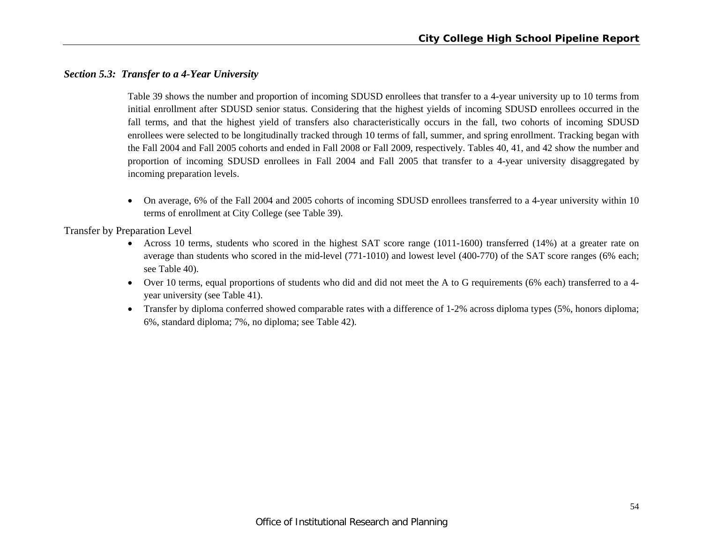# *Section 5.3: Transfer to a 4-Year University*

Table 39 shows the number and proportion of incoming SDUSD enrollees that transfer to a 4-year university up to 10 terms from initial enrollment after SDUSD senior status. Considering that the highest yields of incoming SDUSD enrollees occurred in the fall terms, and that the highest yield of transfers also characteristically occurs in the fall, two cohorts of incoming SDUSD enrollees were selected to be longitudinally tracked through 10 terms of fall, summer, and spring enrollment. Tracking began with the Fall 2004 and Fall 2005 cohorts and ended in Fall 2008 or Fall 2009, respectively. Tables 40, 41, and 42 show the number and proportion of incoming SDUSD enrollees in Fall 2004 and Fall 2005 that transfer to a 4-year university disaggregated by incoming preparation levels.

 $\bullet$  On average, 6% of the Fall 2004 and 2005 cohorts of incoming SDUSD enrollees transferred to a 4-year university within 10 terms of enrollment at City College (see Table 39).

Transfer by Preparation Level

- Across 10 terms, students who scored in the highest SAT score range (1011-1600) transferred (14%) at a greater rate on average than students who scored in the mid-level (771-1010) and lowest level (400-770) of the SAT score ranges (6% each; see Table 40).
- Over 10 terms, equal proportions of students who did and did not meet the A to G requirements (6% each) transferred to a 4 year university (see Table 41).
- Transfer by diploma conferred showed comparable rates with a difference of 1-2% across diploma types (5%, honors diploma; 6%, standard diploma; 7%, no diploma; see Table 42).